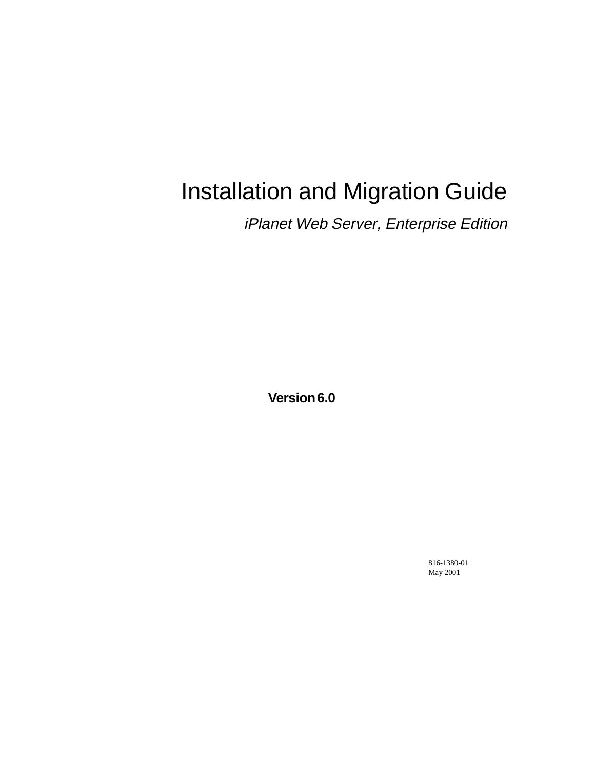# Installation and Migration Guide

iPlanet Web Server, Enterprise Edition

**Version 6.0**

816-1380-01 May 2001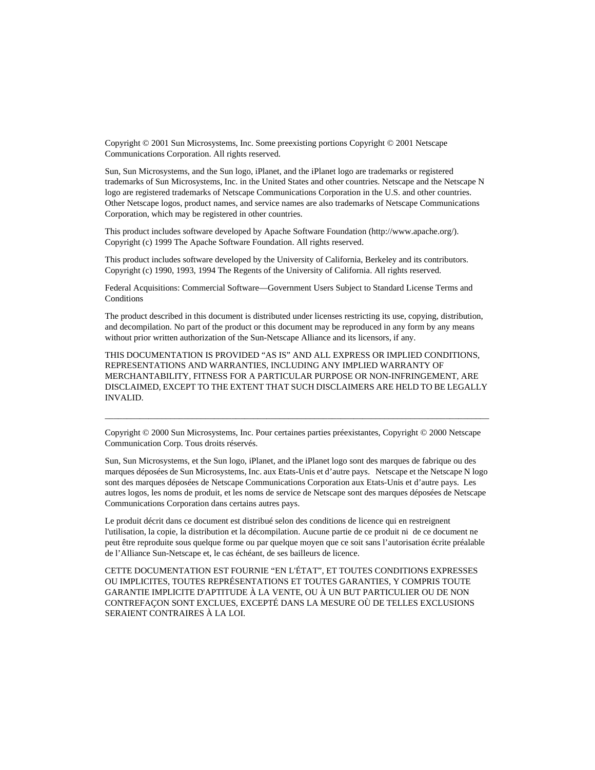Copyright © 2001 Sun Microsystems, Inc. Some preexisting portions Copyright © 2001 Netscape Communications Corporation. All rights reserved.

Sun, Sun Microsystems, and the Sun logo, iPlanet, and the iPlanet logo are trademarks or registered trademarks of Sun Microsystems, Inc. in the United States and other countries. Netscape and the Netscape N logo are registered trademarks of Netscape Communications Corporation in the U.S. and other countries. Other Netscape logos, product names, and service names are also trademarks of Netscape Communications Corporation, which may be registered in other countries.

This product includes software developed by Apache Software Foundation (http://www.apache.org/). Copyright (c) 1999 The Apache Software Foundation. All rights reserved.

This product includes software developed by the University of California, Berkeley and its contributors. Copyright (c) 1990, 1993, 1994 The Regents of the University of California. All rights reserved.

Federal Acquisitions: Commercial Software—Government Users Subject to Standard License Terms and **Conditions** 

The product described in this document is distributed under licenses restricting its use, copying, distribution, and decompilation. No part of the product or this document may be reproduced in any form by any means without prior written authorization of the Sun-Netscape Alliance and its licensors, if any.

THIS DOCUMENTATION IS PROVIDED "AS IS" AND ALL EXPRESS OR IMPLIED CONDITIONS, REPRESENTATIONS AND WARRANTIES, INCLUDING ANY IMPLIED WARRANTY OF MERCHANTABILITY, FITNESS FOR A PARTICULAR PURPOSE OR NON-INFRINGEMENT, ARE DISCLAIMED, EXCEPT TO THE EXTENT THAT SUCH DISCLAIMERS ARE HELD TO BE LEGALLY INVALID.

Copyright © 2000 Sun Microsystems, Inc. Pour certaines parties préexistantes, Copyright © 2000 Netscape Communication Corp. Tous droits réservés.

\_\_\_\_\_\_\_\_\_\_\_\_\_\_\_\_\_\_\_\_\_\_\_\_\_\_\_\_\_\_\_\_\_\_\_\_\_\_\_\_\_\_\_\_\_\_\_\_\_\_\_\_\_\_\_\_\_\_\_\_\_\_\_\_\_\_\_\_\_\_\_\_\_\_\_\_\_\_\_\_\_\_\_\_\_\_\_\_

Sun, Sun Microsystems, et the Sun logo, iPlanet, and the iPlanet logo sont des marques de fabrique ou des marques déposées de Sun Microsystems, Inc. aux Etats-Unis et d'autre pays. Netscape et the Netscape N logo sont des marques déposées de Netscape Communications Corporation aux Etats-Unis et d'autre pays. Les autres logos, les noms de produit, et les noms de service de Netscape sont des marques déposées de Netscape Communications Corporation dans certains autres pays.

Le produit décrit dans ce document est distribué selon des conditions de licence qui en restreignent l'utilisation, la copie, la distribution et la décompilation. Aucune partie de ce produit ni de ce document ne peut être reproduite sous quelque forme ou par quelque moyen que ce soit sans l'autorisation écrite préalable de l'Alliance Sun-Netscape et, le cas échéant, de ses bailleurs de licence.

CETTE DOCUMENTATION EST FOURNIE "EN L'ÉTAT", ET TOUTES CONDITIONS EXPRESSES OU IMPLICITES, TOUTES REPRÉSENTATIONS ET TOUTES GARANTIES, Y COMPRIS TOUTE GARANTIE IMPLICITE D'APTITUDE À LA VENTE, OU À UN BUT PARTICULIER OU DE NON CONTREFAÇON SONT EXCLUES, EXCEPTÉ DANS LA MESURE OÙ DE TELLES EXCLUSIONS SERAIENT CONTRAIRES À LA LOI.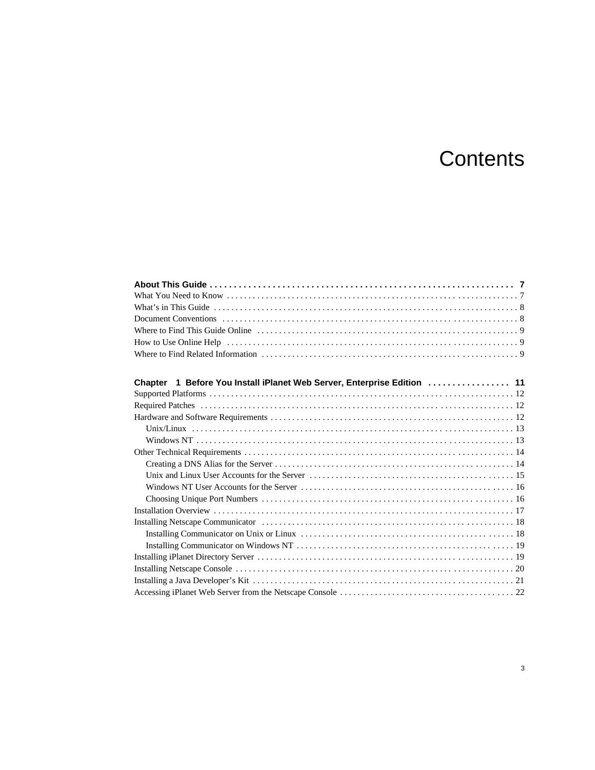# **Contents**

| Chapter 1 Before You Install iPlanet Web Server, Enterprise Edition  11 |  |
|-------------------------------------------------------------------------|--|
|                                                                         |  |
|                                                                         |  |
|                                                                         |  |
|                                                                         |  |
|                                                                         |  |
|                                                                         |  |
|                                                                         |  |
|                                                                         |  |
|                                                                         |  |
|                                                                         |  |
|                                                                         |  |
|                                                                         |  |
|                                                                         |  |
|                                                                         |  |
|                                                                         |  |
|                                                                         |  |
|                                                                         |  |
|                                                                         |  |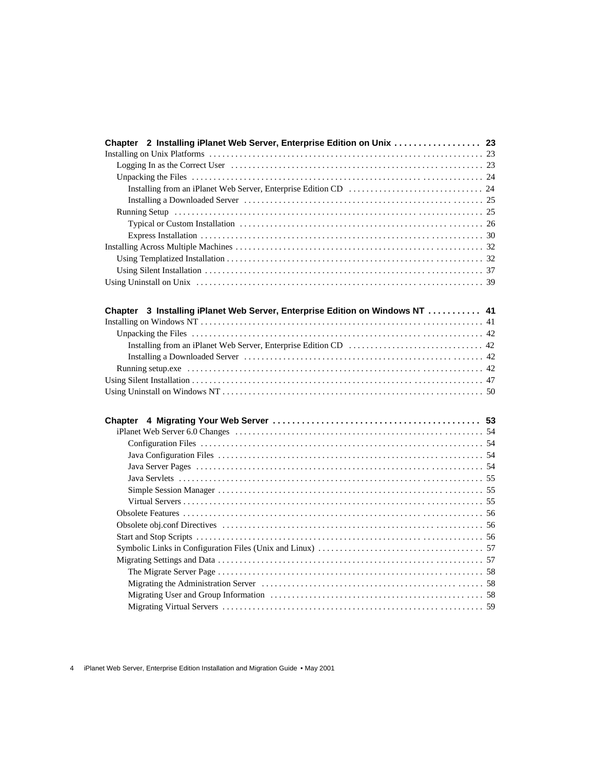| Chapter 2 Installing iPlanet Web Server, Enterprise Edition on Unix  23          |  |
|----------------------------------------------------------------------------------|--|
|                                                                                  |  |
|                                                                                  |  |
|                                                                                  |  |
|                                                                                  |  |
|                                                                                  |  |
|                                                                                  |  |
|                                                                                  |  |
|                                                                                  |  |
|                                                                                  |  |
|                                                                                  |  |
|                                                                                  |  |
|                                                                                  |  |
|                                                                                  |  |
| 3 Installing iPlanet Web Server, Enterprise Edition on Windows NT  41<br>Chapter |  |
|                                                                                  |  |
|                                                                                  |  |
|                                                                                  |  |
|                                                                                  |  |
|                                                                                  |  |
|                                                                                  |  |
|                                                                                  |  |
|                                                                                  |  |
|                                                                                  |  |
| Chapter                                                                          |  |
|                                                                                  |  |
|                                                                                  |  |
|                                                                                  |  |
|                                                                                  |  |
|                                                                                  |  |
|                                                                                  |  |
|                                                                                  |  |
|                                                                                  |  |
|                                                                                  |  |
|                                                                                  |  |
|                                                                                  |  |
|                                                                                  |  |
|                                                                                  |  |
|                                                                                  |  |
|                                                                                  |  |
|                                                                                  |  |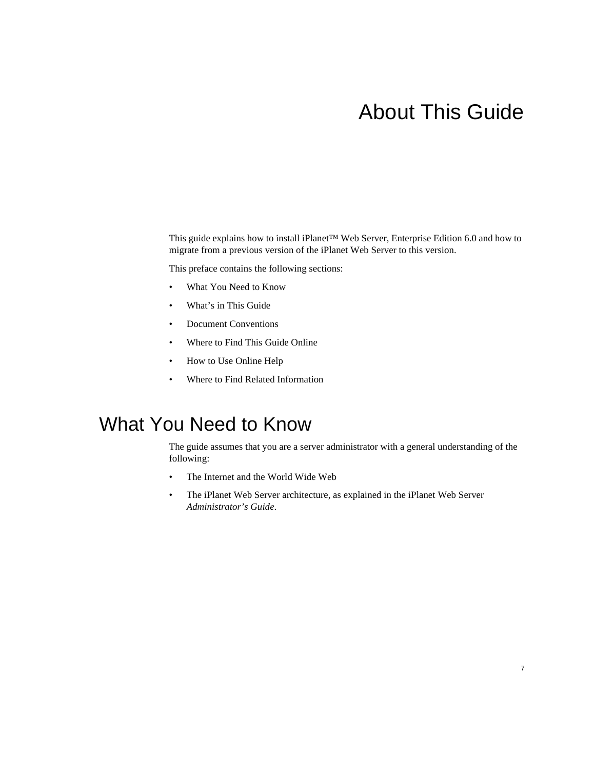# About This Guide

<span id="page-6-0"></span>This guide explains how to install iPlanet™ Web Server, Enterprise Edition 6.0 and how to migrate from a previous version of the iPlanet Web Server to this version.

This preface contains the following sections:

- What You Need to Know
- • [What's in This Guide](#page-7-0)
- • [Document Conventions](#page-7-0)
- • [Where to Find This Guide Online](#page-8-0)
- • [How to Use Online Help](#page-8-0)
- • [Where to Find Related Information](#page-8-0)

# What You Need to Know

The guide assumes that you are a server administrator with a general understanding of the following:

- The Internet and the World Wide Web
- The iPlanet Web Server architecture, as explained in the iPlanet Web Server *Administrator's Guide*.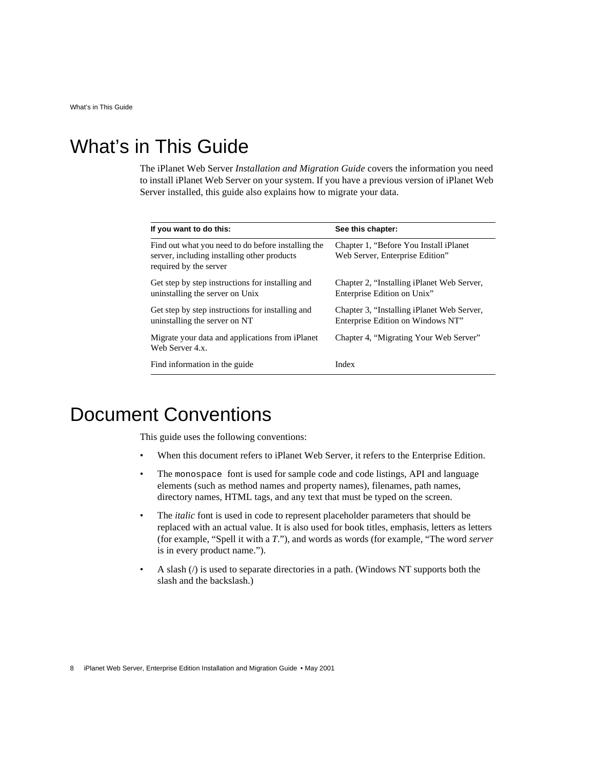# <span id="page-7-0"></span>What's in This Guide

The iPlanet Web Server *Installation and Migration Guide* covers the information you need to install iPlanet Web Server on your system. If you have a previous version of iPlanet Web Server installed, this guide also explains how to migrate your data.

| If you want to do this:                                                                                                     | See this chapter:                                                               |
|-----------------------------------------------------------------------------------------------------------------------------|---------------------------------------------------------------------------------|
| Find out what you need to do before installing the<br>server, including installing other products<br>required by the server | Chapter 1, "Before You Install iPlanet"<br>Web Server, Enterprise Edition"      |
| Get step by step instructions for installing and<br>uninstalling the server on Unix                                         | Chapter 2, "Installing iPlanet Web Server,<br>Enterprise Edition on Unix"       |
| Get step by step instructions for installing and<br>uninstalling the server on NT                                           | Chapter 3, "Installing iPlanet Web Server,<br>Enterprise Edition on Windows NT" |
| Migrate your data and applications from iPlanet<br>Web Server 4.x.                                                          | Chapter 4, "Migrating Your Web Server"                                          |
| Find information in the guide                                                                                               | Index                                                                           |

# Document Conventions

This guide uses the following conventions:

- When this document refers to iPlanet Web Server, it refers to the Enterprise Edition.
- The monospace font is used for sample code and code listings, API and language elements (such as method names and property names), filenames, path names, directory names, HTML tags, and any text that must be typed on the screen.
- The *italic* font is used in code to represent placeholder parameters that should be replaced with an actual value. It is also used for book titles, emphasis, letters as letters (for example, "Spell it with a *T*."), and words as words (for example, "The word *server* is in every product name.").
- A slash  $\binom{n}{2}$  is used to separate directories in a path. (Windows NT supports both the slash and the backslash.)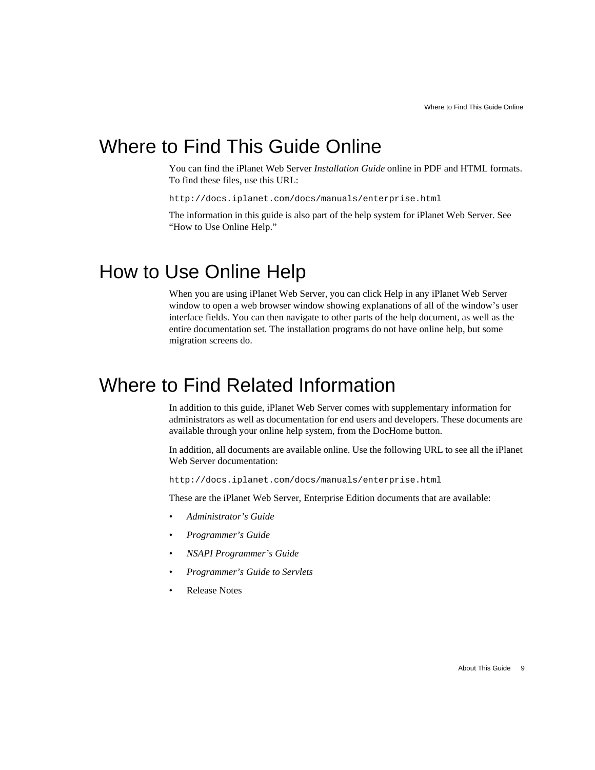# <span id="page-8-0"></span>Where to Find This Guide Online

You can find the iPlanet Web Server *Installation Guide* online in PDF and HTML formats. To find these files, use this URL:

http://docs.iplanet.com/docs/manuals/enterprise.html

The information in this guide is also part of the help system for iPlanet Web Server. See "How to Use Online Help."

# How to Use Online Help

When you are using iPlanet Web Server, you can click Help in any iPlanet Web Server window to open a web browser window showing explanations of all of the window's user interface fields. You can then navigate to other parts of the help document, as well as the entire documentation set. The installation programs do not have online help, but some migration screens do.

# Where to Find Related Information

In addition to this guide, iPlanet Web Server comes with supplementary information for administrators as well as documentation for end users and developers. These documents are available through your online help system, from the DocHome button.

In addition, all documents are available online. Use the following URL to see all the iPlanet Web Server documentation:

http://docs.iplanet.com/docs/manuals/enterprise.html

These are the iPlanet Web Server, Enterprise Edition documents that are available:

- *Administrator's Guide*
- *Programmer's Guide*
- *NSAPI Programmer's Guide*
- *Programmer's Guide to Servlets*
- Release Notes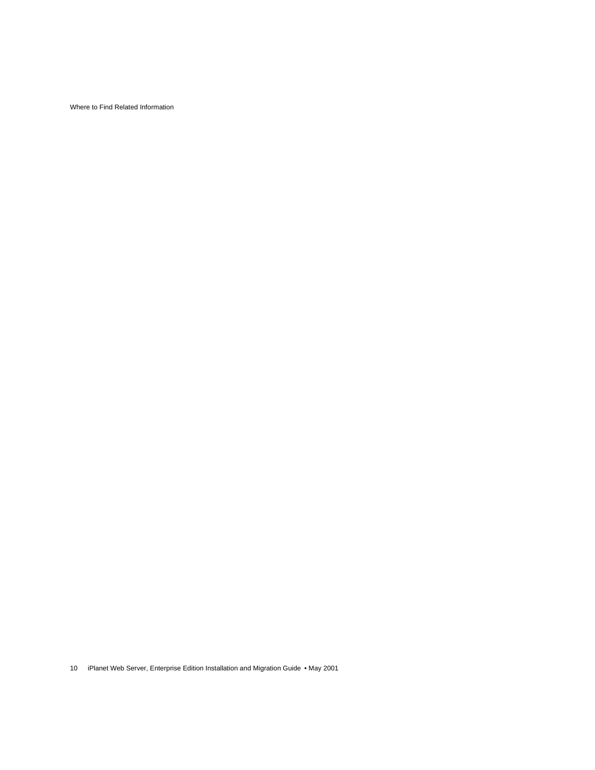Where to Find Related Information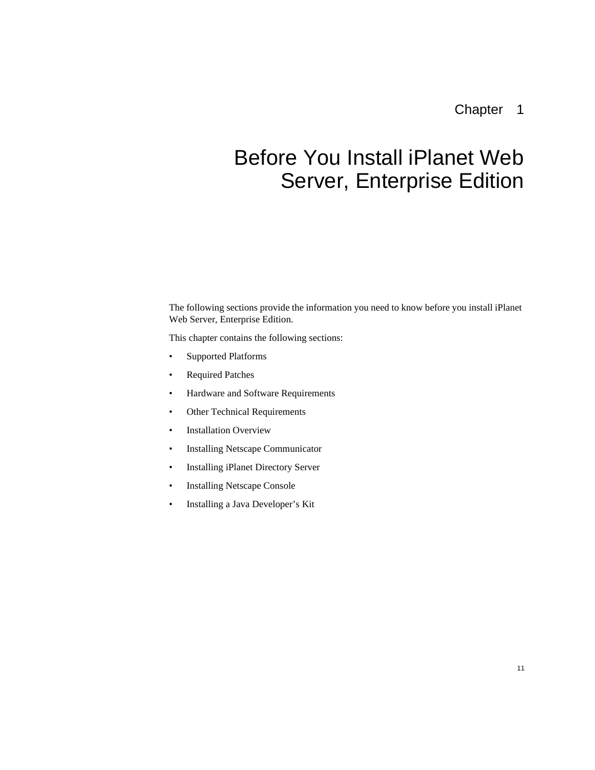# <span id="page-10-0"></span>Before You Install iPlanet Web Server, Enterprise Edition

The following sections provide the information you need to know before you install iPlanet Web Server, Enterprise Edition.

This chapter contains the following sections:

- • [Supported Platforms](#page-11-0)
- • [Required Patches](#page-11-0)
- • [Hardware and Software Requirements](#page-11-0)
- • [Other Technical Requirements](#page-13-0)
- • [Installation Overview](#page-16-0)
- • [Installing Netscape Communicator](#page-17-0)
- • [Installing iPlanet Directory Server](#page-18-0)
- • [Installing Netscape Console](#page-19-0)
- • [Installing a Java Developer's Kit](#page-20-0)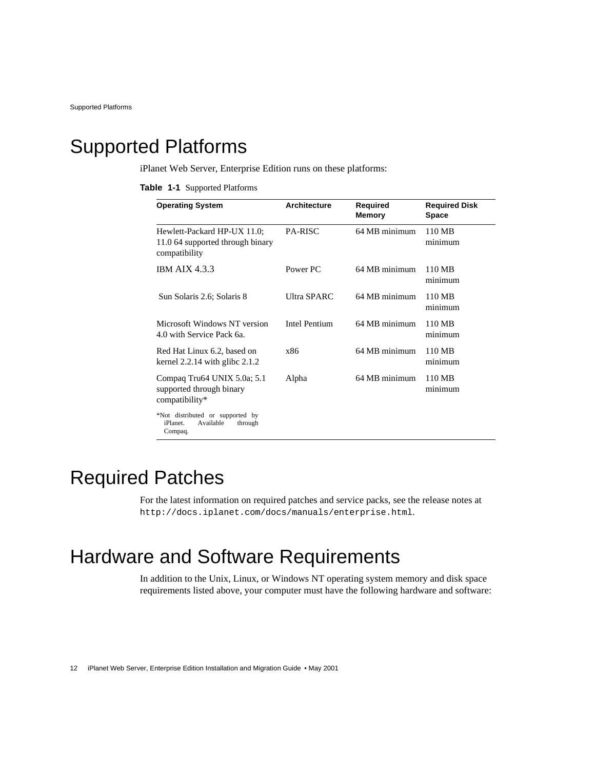# <span id="page-11-0"></span>Supported Platforms

iPlanet Web Server, Enterprise Edition runs on these platforms:

#### **Table 1-1** Supported Platforms

| <b>Operating System</b>                                                                 | <b>Architecture</b>  | Required<br><b>Memory</b> | <b>Required Disk</b><br><b>Space</b> |
|-----------------------------------------------------------------------------------------|----------------------|---------------------------|--------------------------------------|
| Hewlett-Packard HP-UX 11.0;<br>11.0 64 supported through binary<br>compatibility        | <b>PA-RISC</b>       | 64 MB minimum             | 110 MB<br>minimum                    |
| $IBM$ AIX 4.3.3                                                                         | Power PC             | 64 MB minimum             | 110 MB<br>minimum                    |
| Sun Solaris 2.6; Solaris 8                                                              | Ultra SPARC          | 64 MB minimum             | 110 MB<br>minimum                    |
| Microsoft Windows NT version<br>4.0 with Service Pack 6a.                               | <b>Intel Pentium</b> | 64 MB minimum             | 110 MB<br>minimum                    |
| Red Hat Linux 6.2, based on<br>kernel $2.2.14$ with glibe $2.1.2$                       | x86                  | 64 MB minimum             | 110 MB<br>minimum                    |
| Compaq Tru64 UNIX 5.0a; 5.1<br>supported through binary<br>compatibility*               | Alpha                | 64 MB minimum             | 110 MB<br>minimum                    |
| *Not distributed or supported by<br>Available<br><i>i</i> Planet.<br>through<br>Compaq. |                      |                           |                                      |

# Required Patches

For the latest information on required patches and service packs, see the release notes at http://docs.iplanet.com/docs/manuals/enterprise.html.

# Hardware and Software Requirements

In addition to the Unix, Linux, or Windows NT operating system memory and disk space requirements listed above, your computer must have the following hardware and software: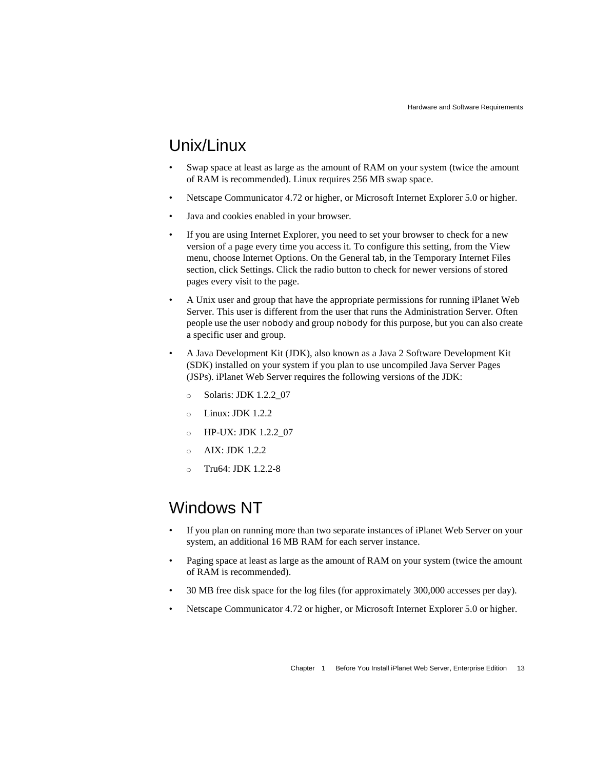# <span id="page-12-0"></span>Unix/Linux

- Swap space at least as large as the amount of RAM on your system (twice the amount of RAM is recommended). Linux requires 256 MB swap space.
- Netscape Communicator 4.72 or higher, or Microsoft Internet Explorer 5.0 or higher.
- Java and cookies enabled in your browser.
- If you are using Internet Explorer, you need to set your browser to check for a new version of a page every time you access it. To configure this setting, from the View menu, choose Internet Options. On the General tab, in the Temporary Internet Files section, click Settings. Click the radio button to check for newer versions of stored pages every visit to the page.
- A Unix user and group that have the appropriate permissions for running iPlanet Web Server. This user is different from the user that runs the Administration Server. Often people use the user nobody and group nobody for this purpose, but you can also create a specific user and group.
- A Java Development Kit (JDK), also known as a Java 2 Software Development Kit (SDK) installed on your system if you plan to use uncompiled Java Server Pages (JSPs). iPlanet Web Server requires the following versions of the JDK:
	- o Solaris: JDK 1.2.2\_07
	- $\circ$  Linux: JDK 1.2.2
	- HP-UX: JDK 1.2.2\_07
	- o AIX: JDK 1.2.2
	- ❍ Tru64: JDK 1.2.2-8

# Windows NT

- If you plan on running more than two separate instances of iPlanet Web Server on your system, an additional 16 MB RAM for each server instance.
- Paging space at least as large as the amount of RAM on your system (twice the amount of RAM is recommended).
- 30 MB free disk space for the log files (for approximately 300,000 accesses per day).
- Netscape Communicator 4.72 or higher, or Microsoft Internet Explorer 5.0 or higher.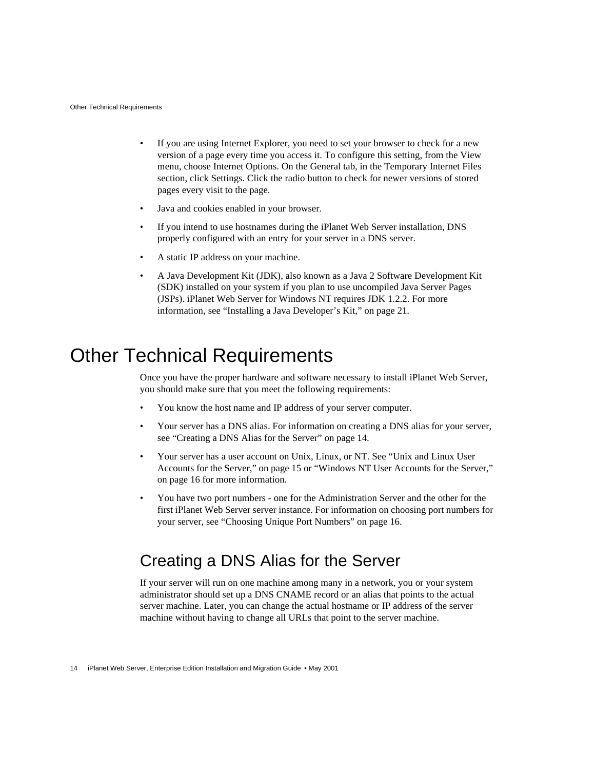- <span id="page-13-0"></span>• If you are using Internet Explorer, you need to set your browser to check for a new version of a page every time you access it. To configure this setting, from the View menu, choose Internet Options. On the General tab, in the Temporary Internet Files section, click Settings. Click the radio button to check for newer versions of stored pages every visit to the page.
- Java and cookies enabled in your browser.
- If you intend to use hostnames during the iPlanet Web Server installation, DNS properly configured with an entry for your server in a DNS server.
- A static IP address on your machine.
- A Java Development Kit (JDK), also known as a Java 2 Software Development Kit (SDK) installed on your system if you plan to use uncompiled Java Server Pages (JSPs). iPlanet Web Server for Windows NT requires JDK 1.2.2. For more information, see ["Installing a Java Developer's Kit," on page 21.](#page-20-0)

# Other Technical Requirements

Once you have the proper hardware and software necessary to install iPlanet Web Server, you should make sure that you meet the following requirements:

- You know the host name and IP address of your server computer.
- Your server has a DNS alias. For information on creating a DNS alias for your server, see "Creating a DNS Alias for the Server" on page 14.
- Your server has a user account on Unix, Linux, or NT. See ["Unix and Linux User](#page-14-0)  [Accounts for the Server," on page 15](#page-14-0) or ["Windows NT User Accounts for the Server,"](#page-15-0)  [on page 16](#page-15-0) for more information.
- You have two port numbers one for the Administration Server and the other for the first iPlanet Web Server server instance. For information on choosing port numbers for your server, see ["Choosing Unique Port Numbers" on page 16](#page-15-0).

# Creating a DNS Alias for the Server

If your server will run on one machine among many in a network, you or your system administrator should set up a DNS CNAME record or an alias that points to the actual server machine. Later, you can change the actual hostname or IP address of the server machine without having to change all URLs that point to the server machine.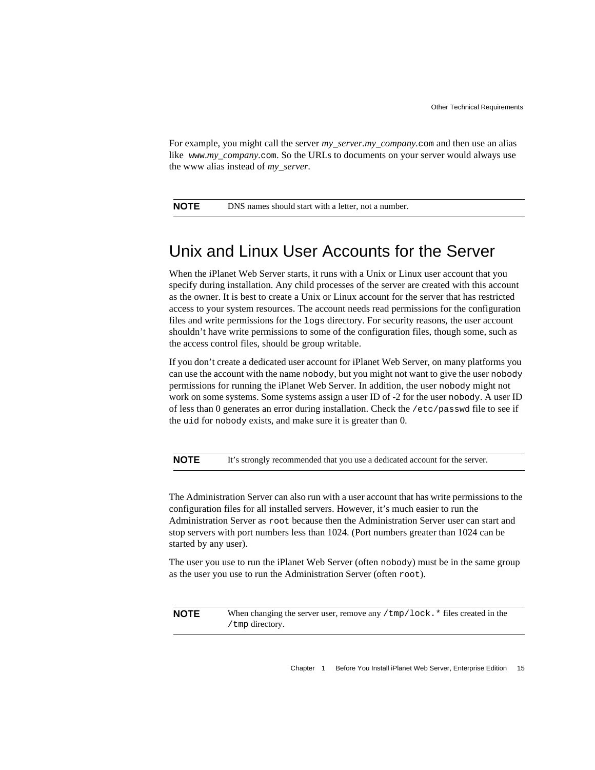<span id="page-14-0"></span>For example, you might call the server *my\_server.my\_company.*com and then use an alias like www.*my\_company.*com. So the URLs to documents on your server would always use the www alias instead of *my\_server*.

**NOTE** DNS names should start with a letter, not a number.

## Unix and Linux User Accounts for the Server

When the iPlanet Web Server starts, it runs with a Unix or Linux user account that you specify during installation. Any child processes of the server are created with this account as the owner. It is best to create a Unix or Linux account for the server that has restricted access to your system resources. The account needs read permissions for the configuration files and write permissions for the logs directory. For security reasons, the user account shouldn't have write permissions to some of the configuration files, though some, such as the access control files, should be group writable.

If you don't create a dedicated user account for iPlanet Web Server, on many platforms you can use the account with the name nobody, but you might not want to give the user nobody permissions for running the iPlanet Web Server. In addition, the user nobody might not work on some systems. Some systems assign a user ID of -2 for the user nobody. A user ID of less than 0 generates an error during installation. Check the /etc/passwd file to see if the uid for nobody exists, and make sure it is greater than 0.

**NOTE** It's strongly recommended that you use a dedicated account for the server.

The Administration Server can also run with a user account that has write permissions to the configuration files for all installed servers. However, it's much easier to run the Administration Server as root because then the Administration Server user can start and stop servers with port numbers less than 1024. (Port numbers greater than 1024 can be started by any user).

The user you use to run the iPlanet Web Server (often nobody) must be in the same group as the user you use to run the Administration Server (often root).

**NOTE** When changing the server user, remove any /tmp/lock. \* files created in the /tmp directory.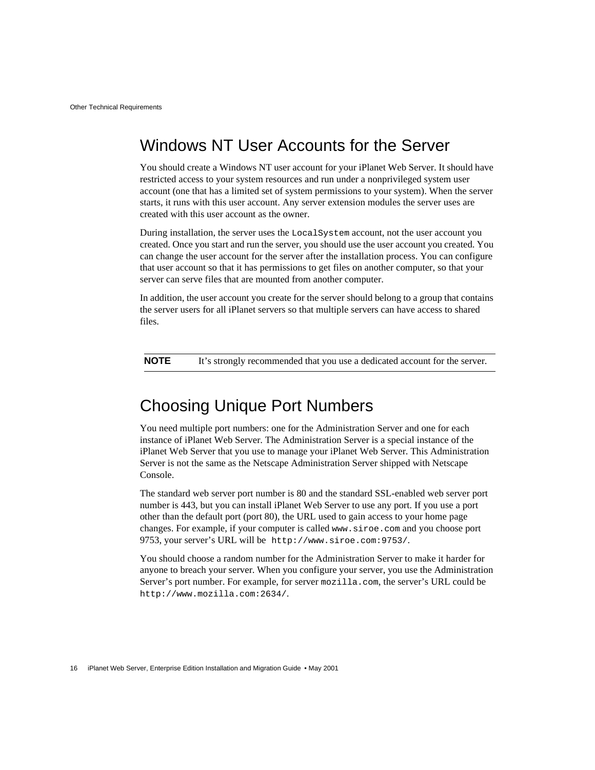# <span id="page-15-0"></span>Windows NT User Accounts for the Server

You should create a Windows NT user account for your iPlanet Web Server. It should have restricted access to your system resources and run under a nonprivileged system user account (one that has a limited set of system permissions to your system). When the server starts, it runs with this user account. Any server extension modules the server uses are created with this user account as the owner.

During installation, the server uses the LocalSystem account, not the user account you created. Once you start and run the server, you should use the user account you created. You can change the user account for the server after the installation process. You can configure that user account so that it has permissions to get files on another computer, so that your server can serve files that are mounted from another computer.

In addition, the user account you create for the server should belong to a group that contains the server users for all iPlanet servers so that multiple servers can have access to shared files.

**NOTE** It's strongly recommended that you use a dedicated account for the server.

# Choosing Unique Port Numbers

You need multiple port numbers: one for the Administration Server and one for each instance of iPlanet Web Server. The Administration Server is a special instance of the iPlanet Web Server that you use to manage your iPlanet Web Server. This Administration Server is not the same as the Netscape Administration Server shipped with Netscape Console.

The standard web server port number is 80 and the standard SSL-enabled web server port number is 443, but you can install iPlanet Web Server to use any port. If you use a port other than the default port (port 80), the URL used to gain access to your home page changes. For example, if your computer is called www.siroe.com and you choose port 9753, your server's URL will be http://www.siroe.com:9753/.

You should choose a random number for the Administration Server to make it harder for anyone to breach your server. When you configure your server, you use the Administration Server's port number. For example, for server mozilla.com, the server's URL could be http://www.mozilla.com:2634/.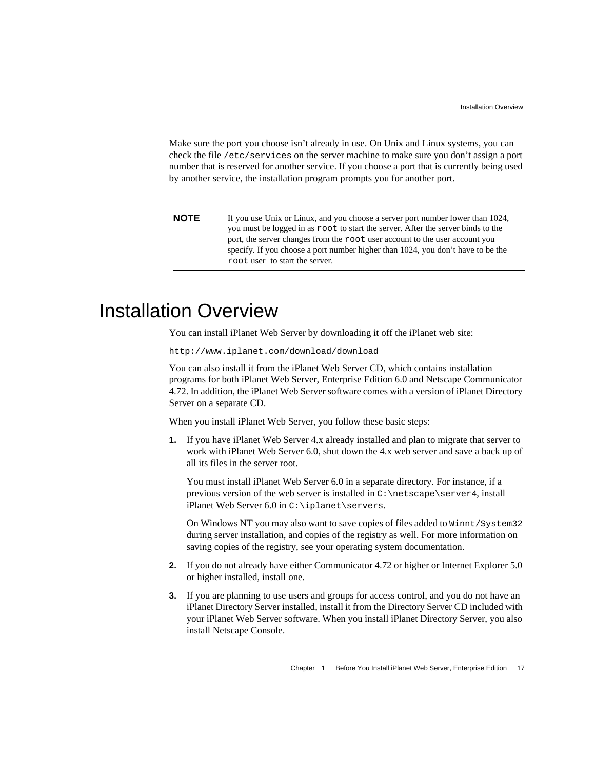<span id="page-16-0"></span>Make sure the port you choose isn't already in use. On Unix and Linux systems, you can check the file /etc/services on the server machine to make sure you don't assign a port number that is reserved for another service. If you choose a port that is currently being used by another service, the installation program prompts you for another port.

**NOTE** If you use Unix or Linux, and you choose a server port number lower than 1024, you must be logged in as root to start the server. After the server binds to the port, the server changes from the root user account to the user account you specify. If you choose a port number higher than 1024, you don't have to be the root user to start the server.

# Installation Overview

You can install iPlanet Web Server by downloading it off the iPlanet web site:

http://www.iplanet.com/download/download

You can also install it from the iPlanet Web Server CD, which contains installation programs for both iPlanet Web Server, Enterprise Edition 6.0 and Netscape Communicator 4.72. In addition, the iPlanet Web Server software comes with a version of iPlanet Directory Server on a separate CD.

When you install iPlanet Web Server, you follow these basic steps:

**1.** If you have iPlanet Web Server 4.x already installed and plan to migrate that server to work with iPlanet Web Server 6.0, shut down the 4.x web server and save a back up of all its files in the server root.

You must install iPlanet Web Server 6.0 in a separate directory. For instance, if a previous version of the web server is installed in C:\netscape\server4, install iPlanet Web Server 6.0 in C:\iplanet\servers.

On Windows NT you may also want to save copies of files added to Winnt/System32 during server installation, and copies of the registry as well. For more information on saving copies of the registry, see your operating system documentation.

- **2.** If you do not already have either Communicator 4.72 or higher or Internet Explorer 5.0 or higher installed, install one.
- **3.** If you are planning to use users and groups for access control, and you do not have an iPlanet Directory Server installed, install it from the Directory Server CD included with your iPlanet Web Server software. When you install iPlanet Directory Server, you also install Netscape Console.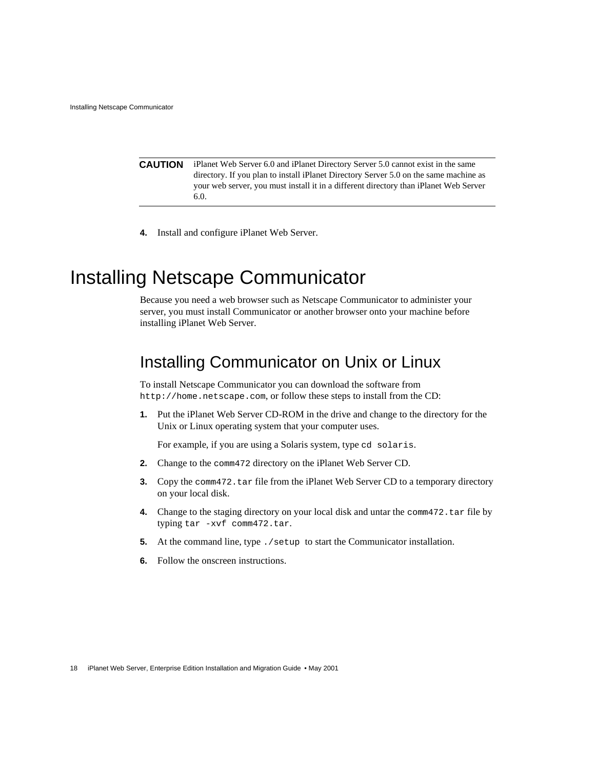<span id="page-17-0"></span>**CAUTION** iPlanet Web Server 6.0 and iPlanet Directory Server 5.0 cannot exist in the same directory. If you plan to install iPlanet Directory Server 5.0 on the same machine as your web server, you must install it in a different directory than iPlanet Web Server 6.0.

**4.** Install and configure iPlanet Web Server.

# Installing Netscape Communicator

Because you need a web browser such as Netscape Communicator to administer your server, you must install Communicator or another browser onto your machine before installing iPlanet Web Server.

## Installing Communicator on Unix or Linux

To install Netscape Communicator you can download the software from http://home.netscape.com, or follow these steps to install from the CD:

**1.** Put the iPlanet Web Server CD-ROM in the drive and change to the directory for the Unix or Linux operating system that your computer uses.

For example, if you are using a Solaris system, type cd solaris.

- **2.** Change to the comm472 directory on the iPlanet Web Server CD.
- **3.** Copy the comm472.tar file from the iPlanet Web Server CD to a temporary directory on your local disk.
- **4.** Change to the staging directory on your local disk and untar the comm472.tar file by typing tar -xvf comm472.tar.
- **5.** At the command line, type ./setup to start the Communicator installation.
- **6.** Follow the onscreen instructions.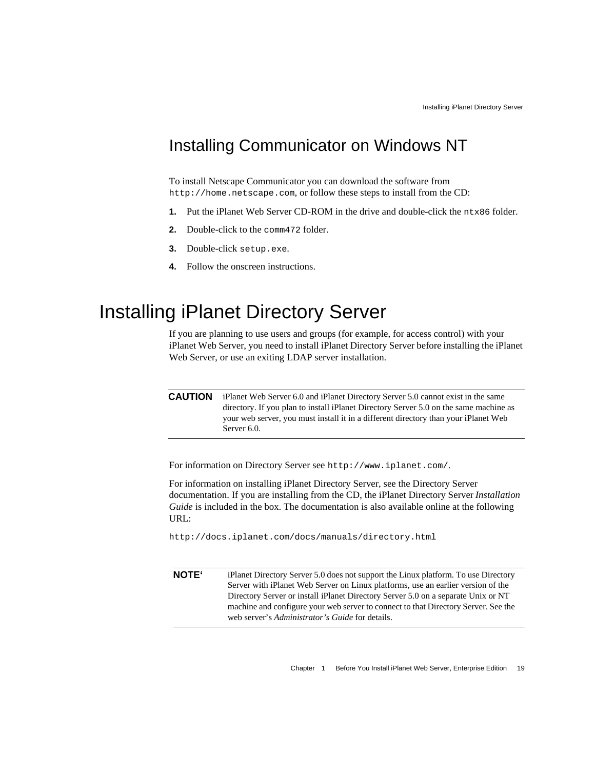# <span id="page-18-0"></span>Installing Communicator on Windows NT

To install Netscape Communicator you can download the software from http://home.netscape.com, or follow these steps to install from the CD:

- **1.** Put the iPlanet Web Server CD-ROM in the drive and double-click the ntx86 folder.
- **2.** Double-click to the comm472 folder.
- **3.** Double-click setup.exe.
- **4.** Follow the onscreen instructions.

# Installing iPlanet Directory Server

If you are planning to use users and groups (for example, for access control) with your iPlanet Web Server, you need to install iPlanet Directory Server before installing the iPlanet Web Server, or use an exiting LDAP server installation.

| <b>CAUTION</b> | iPlanet Web Server 6.0 and iPlanet Directory Server 5.0 cannot exist in the same      |
|----------------|---------------------------------------------------------------------------------------|
|                | directory. If you plan to install iPlanet Directory Server 5.0 on the same machine as |
|                | your web server, you must install it in a different directory than your iPlanet Web   |
|                | Server 6.0.                                                                           |

For information on Directory Server see http://www.iplanet.com/.

For information on installing iPlanet Directory Server, see the Directory Server documentation. If you are installing from the CD, the iPlanet Directory Server *Installation Guide* is included in the box. The documentation is also available online at the following URL:

http://docs.iplanet.com/docs/manuals/directory.html

**NOTE'** iPlanet Directory Server 5.0 does not support the Linux platform. To use Directory Server with iPlanet Web Server on Linux platforms, use an earlier version of the Directory Server or install iPlanet Directory Server 5.0 on a separate Unix or NT machine and configure your web server to connect to that Directory Server. See the web server's *Administrator's Guide* for details.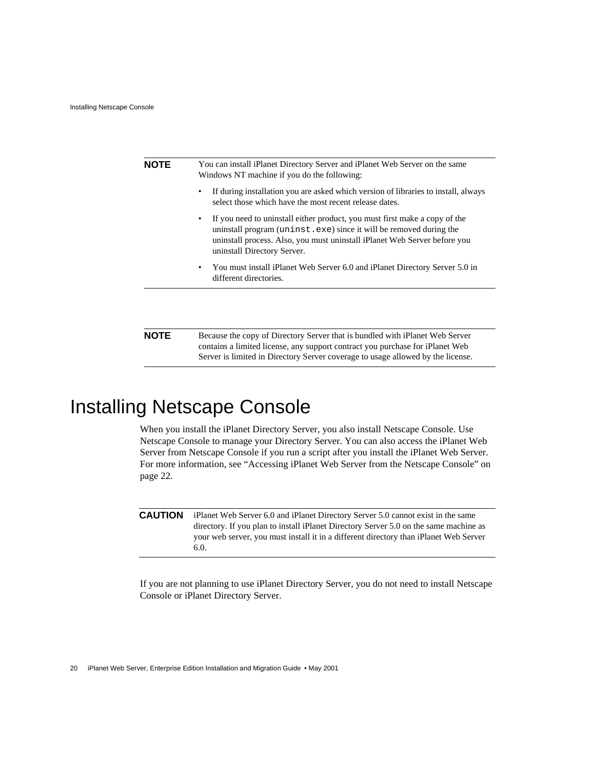<span id="page-19-0"></span>

| <b>NOTE</b> | You can install iPlanet Directory Server and iPlanet Web Server on the same<br>Windows NT machine if you do the following:                                                                                                                                                |  |  |
|-------------|---------------------------------------------------------------------------------------------------------------------------------------------------------------------------------------------------------------------------------------------------------------------------|--|--|
|             | If during installation you are asked which version of libraries to install, always<br>$\bullet$<br>select those which have the most recent release dates.                                                                                                                 |  |  |
|             | If you need to uninstall either product, you must first make a copy of the<br>$\bullet$<br>uninstall program (uninst.exe) since it will be removed during the<br>uninstall process. Also, you must uninstall iPlanet Web Server before you<br>uninstall Directory Server. |  |  |
|             | You must install iPlanet Web Server 6.0 and iPlanet Directory Server 5.0 in<br>different directories.                                                                                                                                                                     |  |  |
|             |                                                                                                                                                                                                                                                                           |  |  |
| NOTE        | Because the copy of Directory Server that is bundled with iPlanet Web Server<br>contains a limited license, any support contract you purchase for iPlanet Web<br>Server is limited in Directory Server coverage to usage allowed by the license.                          |  |  |

# Installing Netscape Console

When you install the iPlanet Directory Server, you also install Netscape Console. Use Netscape Console to manage your Directory Server. You can also access the iPlanet Web Server from Netscape Console if you run a script after you install the iPlanet Web Server. For more information, see ["Accessing iPlanet Web Server from the Netscape Console" on](#page-21-0)  [page 22](#page-21-0).

**CAUTION** iPlanet Web Server 6.0 and iPlanet Directory Server 5.0 cannot exist in the same directory. If you plan to install iPlanet Directory Server 5.0 on the same machine as your web server, you must install it in a different directory than iPlanet Web Server 6.0.

If you are not planning to use iPlanet Directory Server, you do not need to install Netscape Console or iPlanet Directory Server.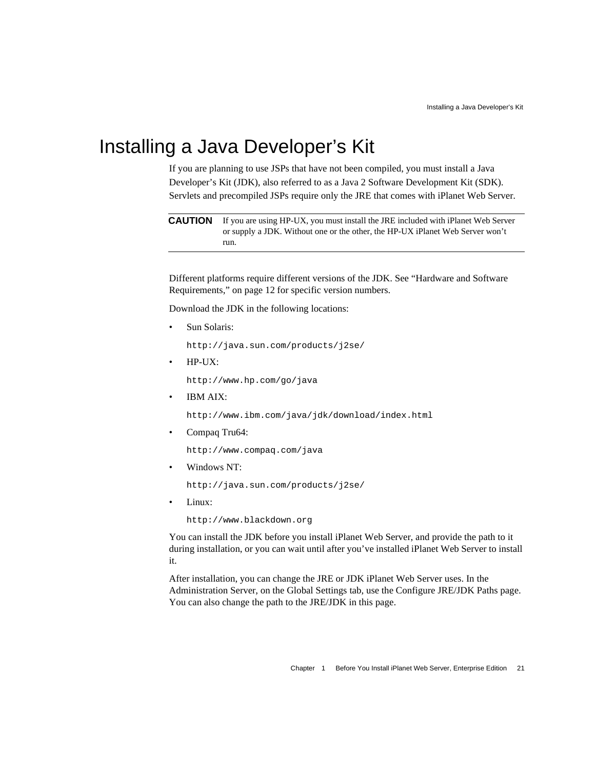# <span id="page-20-0"></span>Installing a Java Developer's Kit

If you are planning to use JSPs that have not been compiled, you must install a Java Developer's Kit (JDK), also referred to as a Java 2 Software Development Kit (SDK). Servlets and precompiled JSPs require only the JRE that comes with iPlanet Web Server.

**CAUTION** If you are using HP-UX, you must install the JRE included with iPlanet Web Server or supply a JDK. Without one or the other, the HP-UX iPlanet Web Server won't run.

Different platforms require different versions of the JDK. See ["Hardware and Software](#page-11-0)  [Requirements," on page 12](#page-11-0) for specific version numbers.

Download the JDK in the following locations:

Sun Solaris:

http://java.sun.com/products/j2se/

• HP-UX:

http://www.hp.com/go/java

• IBM AIX:

http://www.ibm.com/java/jdk/download/index.html

• Compaq Tru64:

http://www.compaq.com/java

• Windows NT:

http://java.sun.com/products/j2se/

• Linux:

http://www.blackdown.org

You can install the JDK before you install iPlanet Web Server, and provide the path to it during installation, or you can wait until after you've installed iPlanet Web Server to install it.

After installation, you can change the JRE or JDK iPlanet Web Server uses. In the Administration Server, on the Global Settings tab, use the Configure JRE/JDK Paths page. You can also change the path to the JRE/JDK in this page.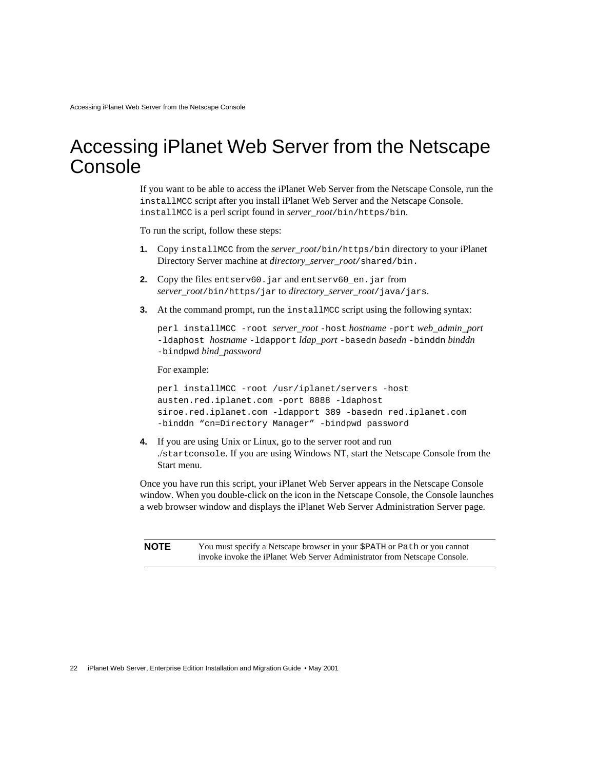# <span id="page-21-0"></span>Accessing iPlanet Web Server from the Netscape **Console**

If you want to be able to access the iPlanet Web Server from the Netscape Console, run the installMCC script after you install iPlanet Web Server and the Netscape Console. installMCC is a perl script found in *server\_root*/bin/https/bin.

To run the script, follow these steps:

- **1.** Copy installMCC from the *server\_root*/bin/https/bin directory to your iPlanet Directory Server machine at *directory\_server\_root*/shared/bin.
- **2.** Copy the files entserv60.jar and entserv60\_en.jar from *server\_root*/bin/https/jar to *directory\_server\_root*/java/jars.
- **3.** At the command prompt, run the installMCC script using the following syntax:

perl installMCC -root *server\_root* -host *hostname* -port *web\_admin\_port*  -ldaphost *hostname* -ldapport *ldap\_port* -basedn *basedn* -binddn *binddn*  -bindpwd *bind\_password*

For example:

perl installMCC -root /usr/iplanet/servers -host austen.red.iplanet.com -port 8888 -ldaphost siroe.red.iplanet.com -ldapport 389 -basedn red.iplanet.com -binddn "cn=Directory Manager" -bindpwd password

**4.** If you are using Unix or Linux, go to the server root and run ./startconsole. If you are using Windows NT, start the Netscape Console from the Start menu.

Once you have run this script, your iPlanet Web Server appears in the Netscape Console window. When you double-click on the icon in the Netscape Console, the Console launches a web browser window and displays the iPlanet Web Server Administration Server page.

**NOTE** You must specify a Netscape browser in your \$PATH or Path or you cannot invoke invoke the iPlanet Web Server Administrator from Netscape Console.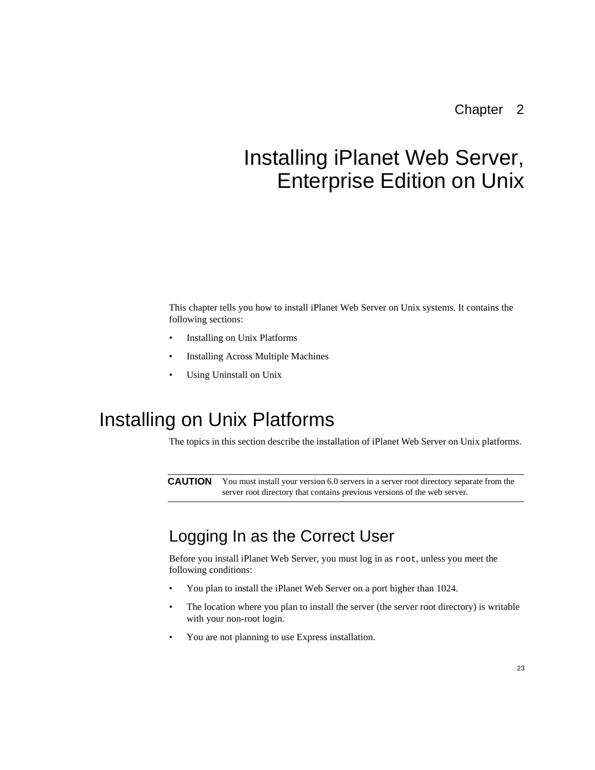# <span id="page-22-0"></span>Installing iPlanet Web Server, Enterprise Edition on Unix

This chapter tells you how to install iPlanet Web Server on Unix systems. It contains the following sections:

- Installing on Unix Platforms
- Installing Across Multiple Machines
- • [Using Uninstall on Unix](#page-38-0)

# Installing on Unix Platforms

The topics in this section describe the installation of iPlanet Web Server on Unix platforms.

**CAUTION** You must install your version 6.0 servers in a server root directory separate from the server root directory that contains previous versions of the web server.

# Logging In as the Correct User

Before you install iPlanet Web Server, you must log in as root, unless you meet the following conditions:

- You plan to install the iPlanet Web Server on a port higher than 1024.
- The location where you plan to install the server (the server root directory) is writable with your non-root login.
- You are not planning to use Express installation.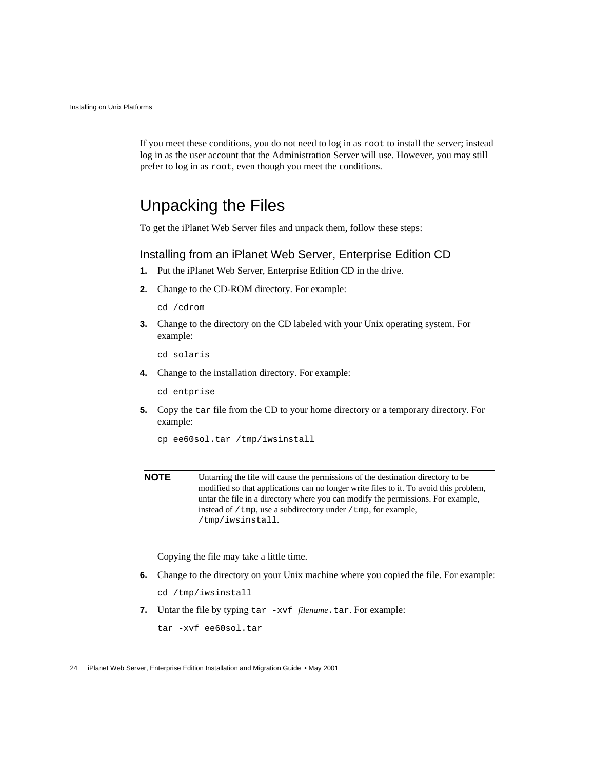<span id="page-23-0"></span>If you meet these conditions, you do not need to log in as root to install the server; instead log in as the user account that the Administration Server will use. However, you may still prefer to log in as root, even though you meet the conditions.

## Unpacking the Files

To get the iPlanet Web Server files and unpack them, follow these steps:

Installing from an iPlanet Web Server, Enterprise Edition CD

- **1.** Put the iPlanet Web Server, Enterprise Edition CD in the drive.
- **2.** Change to the CD-ROM directory. For example:

cd /cdrom

**3.** Change to the directory on the CD labeled with your Unix operating system. For example:

cd solaris

**4.** Change to the installation directory. For example:

cd entprise

**5.** Copy the tar file from the CD to your home directory or a temporary directory. For example:

cp ee60sol.tar /tmp/iwsinstall

**NOTE** Untarring the file will cause the permissions of the destination directory to be modified so that applications can no longer write files to it. To avoid this problem, untar the file in a directory where you can modify the permissions. For example, instead of  $/$ tmp, use a subdirectory under  $/$ tmp, for example, /tmp/iwsinstall.

Copying the file may take a little time.

- **6.** Change to the directory on your Unix machine where you copied the file. For example: cd /tmp/iwsinstall
- **7.** Untar the file by typing tar -xvf *filename*.tar. For example:

tar -xvf ee60sol.tar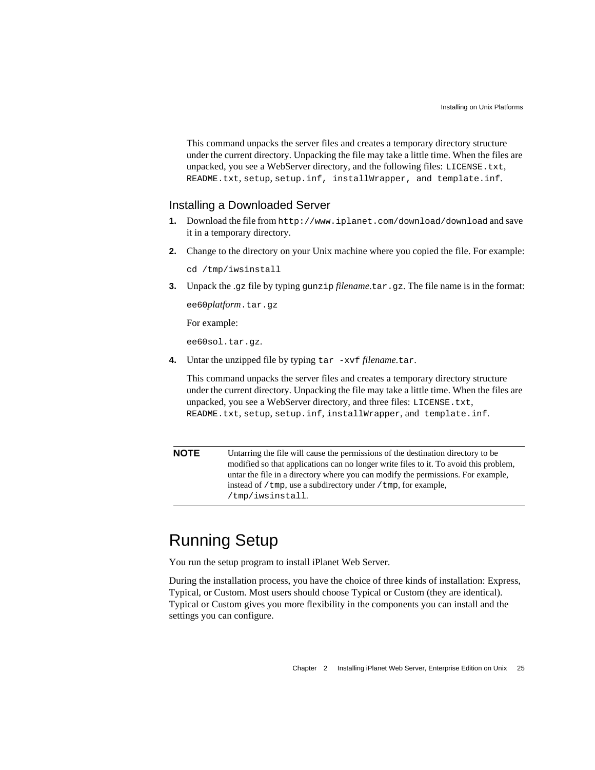<span id="page-24-0"></span>This command unpacks the server files and creates a temporary directory structure under the current directory. Unpacking the file may take a little time. When the files are unpacked, you see a WebServer directory, and the following files:  $LICENSE.txt$ , README.txt, setup, setup.inf, installWrapper, and template.inf.

#### Installing a Downloaded Server

- **1.** Download the file from http://www.iplanet.com/download/download and save it in a temporary directory.
- **2.** Change to the directory on your Unix machine where you copied the file. For example:

cd /tmp/iwsinstall

**3.** Unpack the .gz file by typing gunzip *filename*.tar.gz. The file name is in the format:

ee60*platform*.tar.gz

For example:

ee60sol.tar.gz.

**4.** Untar the unzipped file by typing tar -xvf *filename.*tar.

This command unpacks the server files and creates a temporary directory structure under the current directory. Unpacking the file may take a little time. When the files are unpacked, you see a WebServer directory, and three files: LICENSE.txt, README.txt, setup, setup.inf, installWrapper, and template.inf.

**NOTE** Untarring the file will cause the permissions of the destination directory to be modified so that applications can no longer write files to it. To avoid this problem, untar the file in a directory where you can modify the permissions. For example, instead of  $/$ tmp, use a subdirectory under  $/$ tmp, for example, /tmp/iwsinstall.

# Running Setup

You run the setup program to install iPlanet Web Server.

During the installation process, you have the choice of three kinds of installation: Express, Typical, or Custom. Most users should choose Typical or Custom (they are identical). Typical or Custom gives you more flexibility in the components you can install and the settings you can configure.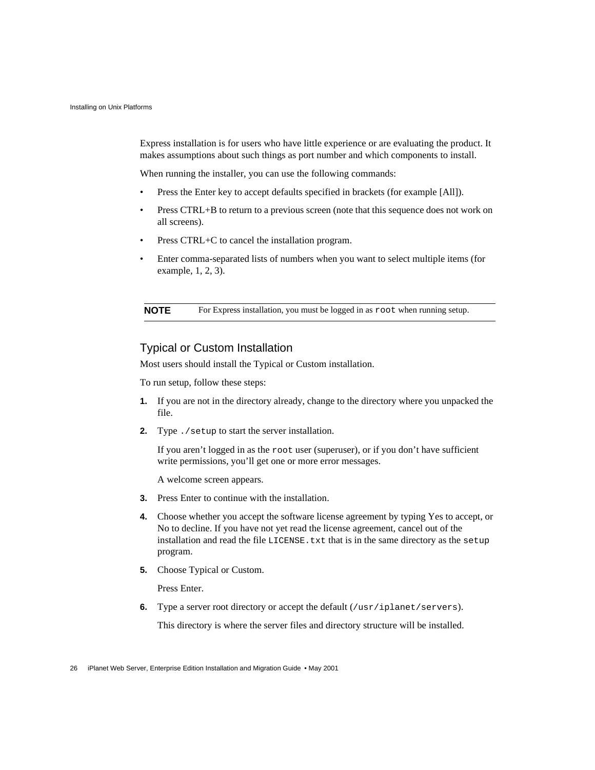<span id="page-25-0"></span>Express installation is for users who have little experience or are evaluating the product. It makes assumptions about such things as port number and which components to install.

When running the installer, you can use the following commands:

- Press the Enter key to accept defaults specified in brackets (for example [All]).
- Press CTRL+B to return to a previous screen (note that this sequence does not work on all screens).
- Press CTRL+C to cancel the installation program.
- Enter comma-separated lists of numbers when you want to select multiple items (for example, 1, 2, 3).

**NOTE** For Express installation, you must be logged in as root when running setup.

#### Typical or Custom Installation

Most users should install the Typical or Custom installation.

To run setup, follow these steps:

- **1.** If you are not in the directory already, change to the directory where you unpacked the file.
- **2.** Type ./setup to start the server installation.

If you aren't logged in as the root user (superuser), or if you don't have sufficient write permissions, you'll get one or more error messages.

A welcome screen appears.

- **3.** Press Enter to continue with the installation.
- **4.** Choose whether you accept the software license agreement by typing Yes to accept, or No to decline. If you have not yet read the license agreement, cancel out of the installation and read the file LICENSE.txt that is in the same directory as the setup program.
- **5.** Choose Typical or Custom.

Press Enter.

**6.** Type a server root directory or accept the default (/usr/iplanet/servers).

This directory is where the server files and directory structure will be installed.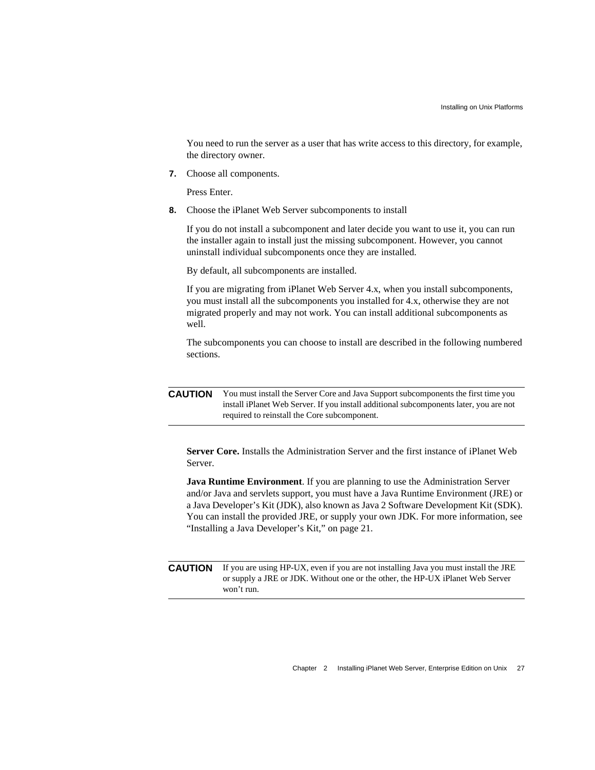You need to run the server as a user that has write access to this directory, for example, the directory owner.

<span id="page-26-0"></span>**7.** Choose all components.

Press Enter.

**8.** Choose the iPlanet Web Server subcomponents to install

If you do not install a subcomponent and later decide you want to use it, you can run the installer again to install just the missing subcomponent. However, you cannot uninstall individual subcomponents once they are installed.

By default, all subcomponents are installed.

If you are migrating from iPlanet Web Server 4.x, when you install subcomponents, you must install all the subcomponents you installed for 4.x, otherwise they are not migrated properly and may not work. You can install additional subcomponents as well.

The subcomponents you can choose to install are described in the following numbered sections.

#### **CAUTION** You must install the Server Core and Java Support subcomponents the first time you install iPlanet Web Server. If you install additional subcomponents later, you are not required to reinstall the Core subcomponent.

**Server Core.** Installs the Administration Server and the first instance of iPlanet Web Server.

**Java Runtime Environment**. If you are planning to use the Administration Server and/or Java and servlets support, you must have a Java Runtime Environment (JRE) or a Java Developer's Kit (JDK), also known as Java 2 Software Development Kit (SDK). You can install the provided JRE, or supply your own JDK. For more information, see ["Installing a Java Developer's Kit," on page 21](#page-20-0).

**CAUTION** If you are using HP-UX, even if you are not installing Java you must install the JRE or supply a JRE or JDK. Without one or the other, the HP-UX iPlanet Web Server won't run.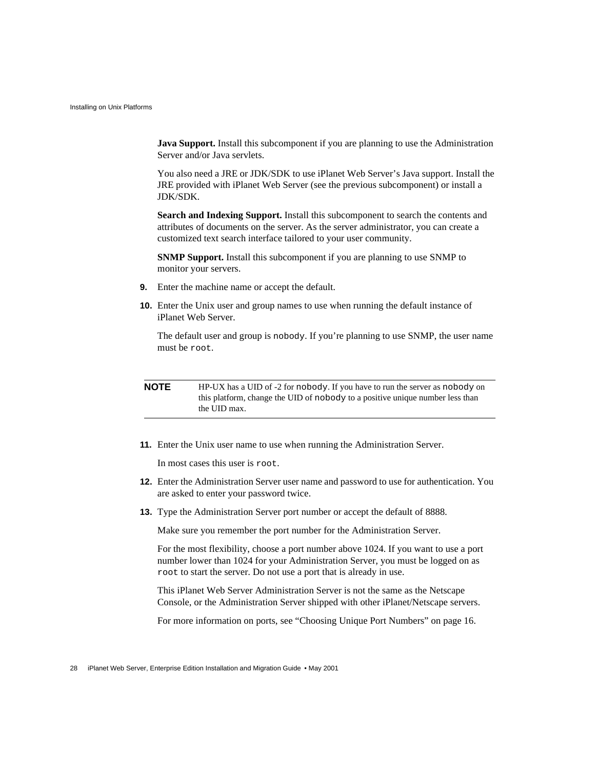**Java Support.** Install this subcomponent if you are planning to use the Administration Server and/or Java servlets.

You also need a JRE or JDK/SDK to use iPlanet Web Server's Java support. Install the JRE provided with iPlanet Web Server (see the previous subcomponent) or install a JDK/SDK.

**Search and Indexing Support.** Install this subcomponent to search the contents and attributes of documents on the server. As the server administrator, you can create a customized text search interface tailored to your user community.

**SNMP Support.** Install this subcomponent if you are planning to use SNMP to monitor your servers.

- **9.** Enter the machine name or accept the default.
- **10.** Enter the Unix user and group names to use when running the default instance of iPlanet Web Server.

The default user and group is nobody. If you're planning to use SNMP, the user name must be root.

**NOTE** HP-UX has a UID of -2 for nobody. If you have to run the server as nobody on this platform, change the UID of nobody to a positive unique number less than the UID max.

**11.** Enter the Unix user name to use when running the Administration Server.

In most cases this user is root.

- **12.** Enter the Administration Server user name and password to use for authentication. You are asked to enter your password twice.
- **13.** Type the Administration Server port number or accept the default of 8888.

Make sure you remember the port number for the Administration Server.

For the most flexibility, choose a port number above 1024. If you want to use a port number lower than 1024 for your Administration Server, you must be logged on as root to start the server. Do not use a port that is already in use.

This iPlanet Web Server Administration Server is not the same as the Netscape Console, or the Administration Server shipped with other iPlanet/Netscape servers.

For more information on ports, see ["Choosing Unique Port Numbers" on page 16.](#page-15-0)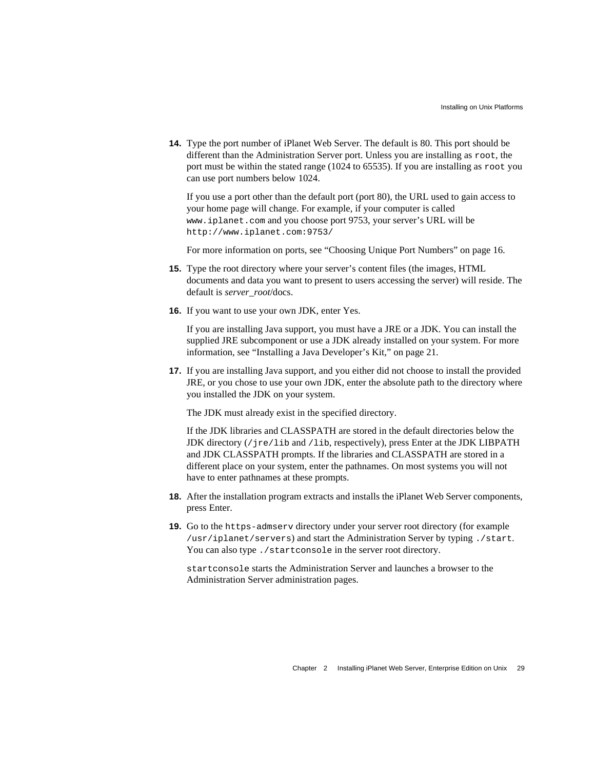**14.** Type the port number of iPlanet Web Server. The default is 80. This port should be different than the Administration Server port. Unless you are installing as root, the port must be within the stated range (1024 to 65535). If you are installing as root you can use port numbers below 1024.

If you use a port other than the default port (port 80), the URL used to gain access to your home page will change. For example, if your computer is called www.iplanet.com and you choose port 9753, your server's URL will be http://www.iplanet.com:9753/

For more information on ports, see ["Choosing Unique Port Numbers" on page 16.](#page-15-0)

- **15.** Type the root directory where your server's content files (the images, HTML documents and data you want to present to users accessing the server) will reside. The default is *server\_root*/docs.
- **16.** If you want to use your own JDK, enter Yes.

If you are installing Java support, you must have a JRE or a JDK. You can install the supplied JRE subcomponent or use a JDK already installed on your system. For more information, see ["Installing a Java Developer's Kit," on page 21.](#page-20-0)

**17.** If you are installing Java support, and you either did not choose to install the provided JRE, or you chose to use your own JDK, enter the absolute path to the directory where you installed the JDK on your system.

The JDK must already exist in the specified directory.

If the JDK libraries and CLASSPATH are stored in the default directories below the JDK directory ( $/$ jre $/$ lib and  $/$ lib, respectively), press Enter at the JDK LIBPATH and JDK CLASSPATH prompts. If the libraries and CLASSPATH are stored in a different place on your system, enter the pathnames. On most systems you will not have to enter pathnames at these prompts.

- **18.** After the installation program extracts and installs the iPlanet Web Server components, press Enter.
- **19.** Go to the https-admserv directory under your server root directory (for example /usr/iplanet/servers) and start the Administration Server by typing ./start. You can also type ./startconsole in the server root directory.

startconsole starts the Administration Server and launches a browser to the Administration Server administration pages.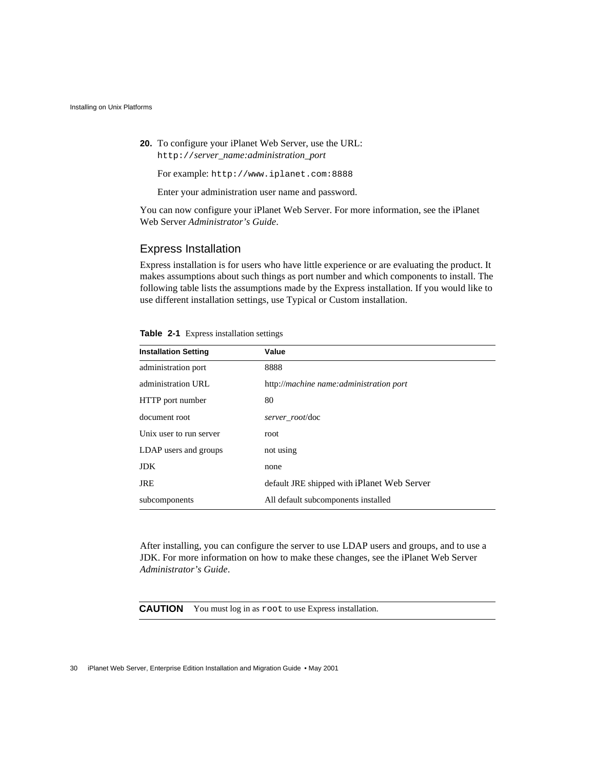<span id="page-29-0"></span>**20.** To configure your iPlanet Web Server, use the URL: http://*server\_name:administration\_port*

For example: http://www.iplanet.com:8888

Enter your administration user name and password.

You can now configure your iPlanet Web Server. For more information, see the iPlanet Web Server *Administrator's Guide*.

#### Express Installation

Express installation is for users who have little experience or are evaluating the product. It makes assumptions about such things as port number and which components to install. The following table lists the assumptions made by the Express installation. If you would like to use different installation settings, use Typical or Custom installation.

| <b>Installation Setting</b> | Value                                       |
|-----------------------------|---------------------------------------------|
| administration port         | 8888                                        |
| administration URL          | http://machine name:administration port     |
| HTTP port number            | 80                                          |
| document root               | server root/doc                             |
| Unix user to run server     | root                                        |
| LDAP users and groups       | not using                                   |
| <b>JDK</b>                  | none                                        |
| JRE.                        | default JRE shipped with iPlanet Web Server |
| subcomponents               | All default subcomponents installed         |

**Table 2-1** Express installation settings

After installing, you can configure the server to use LDAP users and groups, and to use a JDK. For more information on how to make these changes, see the iPlanet Web Server *Administrator's Guide*.

**CAUTION** You must log in as root to use Express installation.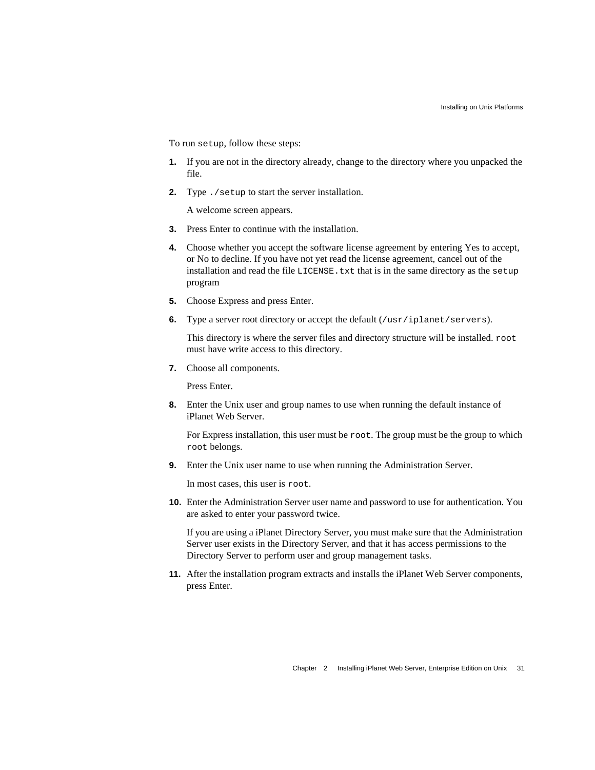To run setup, follow these steps:

- **1.** If you are not in the directory already, change to the directory where you unpacked the file.
- **2.** Type ./setup to start the server installation.

A welcome screen appears.

- **3.** Press Enter to continue with the installation.
- **4.** Choose whether you accept the software license agreement by entering Yes to accept, or No to decline. If you have not yet read the license agreement, cancel out of the installation and read the file LICENSE. txt that is in the same directory as the setup program
- **5.** Choose Express and press Enter.
- **6.** Type a server root directory or accept the default (/usr/iplanet/servers).

This directory is where the server files and directory structure will be installed. root must have write access to this directory.

**7.** Choose all components.

Press Enter.

**8.** Enter the Unix user and group names to use when running the default instance of iPlanet Web Server.

For Express installation, this user must be root. The group must be the group to which root belongs.

**9.** Enter the Unix user name to use when running the Administration Server.

In most cases, this user is root.

**10.** Enter the Administration Server user name and password to use for authentication. You are asked to enter your password twice.

If you are using a iPlanet Directory Server, you must make sure that the Administration Server user exists in the Directory Server, and that it has access permissions to the Directory Server to perform user and group management tasks.

**11.** After the installation program extracts and installs the iPlanet Web Server components, press Enter.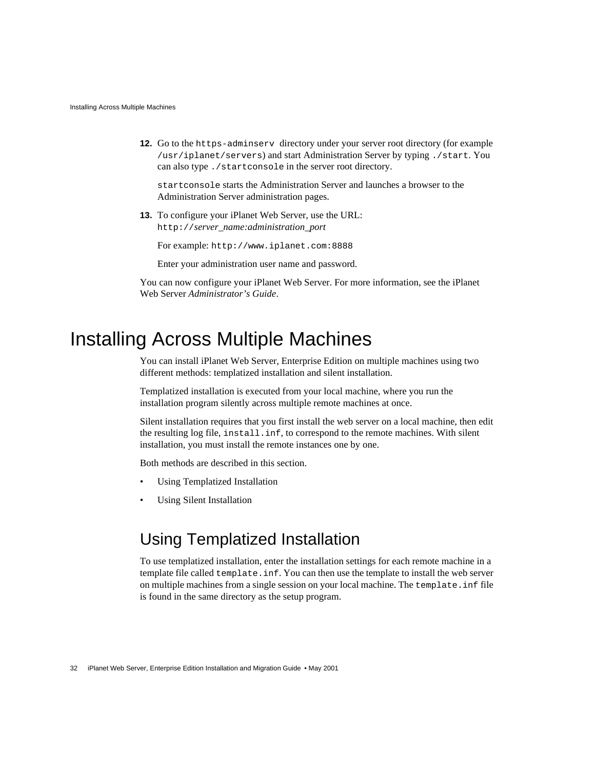<span id="page-31-0"></span>**12.** Go to the https-adminserv directory under your server root directory (for example /usr/iplanet/servers) and start Administration Server by typing ./start. You can also type ./startconsole in the server root directory.

startconsole starts the Administration Server and launches a browser to the Administration Server administration pages.

**13.** To configure your iPlanet Web Server, use the URL: http://*server\_name:administration\_port*

For example: http://www.iplanet.com:8888

Enter your administration user name and password.

You can now configure your iPlanet Web Server. For more information, see the iPlanet Web Server *Administrator's Guide*.

# Installing Across Multiple Machines

You can install iPlanet Web Server, Enterprise Edition on multiple machines using two different methods: templatized installation and silent installation.

Templatized installation is executed from your local machine, where you run the installation program silently across multiple remote machines at once.

Silent installation requires that you first install the web server on a local machine, then edit the resulting log file, install.inf, to correspond to the remote machines. With silent installation, you must install the remote instances one by one.

Both methods are described in this section.

- Using Templatized Installation
- Using Silent Installation

## Using Templatized Installation

To use templatized installation, enter the installation settings for each remote machine in a template file called template.inf. You can then use the template to install the web server on multiple machines from a single session on your local machine. The template.inf file is found in the same directory as the setup program.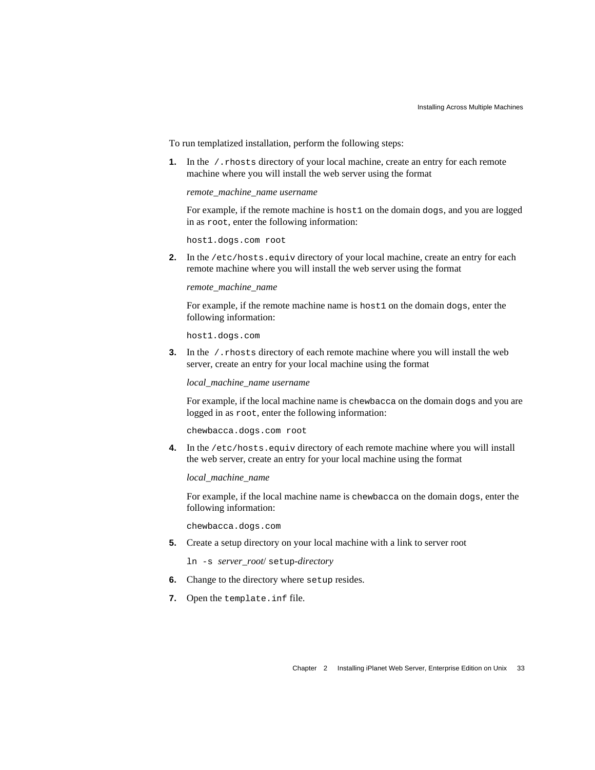To run templatized installation, perform the following steps:

**1.** In the /.rhosts directory of your local machine, create an entry for each remote machine where you will install the web server using the format

#### *remote\_machine\_name username*

For example, if the remote machine is host1 on the domain dogs, and you are logged in as root, enter the following information:

host1.dogs.com root

**2.** In the /etc/hosts.equiv directory of your local machine, create an entry for each remote machine where you will install the web server using the format

#### *remote\_machine\_name*

For example, if the remote machine name is host1 on the domain dogs, enter the following information:

host1.dogs.com

**3.** In the /.rhosts directory of each remote machine where you will install the web server, create an entry for your local machine using the format

#### *local\_machine\_name username*

For example, if the local machine name is chewbacca on the domain dogs and you are logged in as root, enter the following information:

chewbacca.dogs.com root

**4.** In the /etc/hosts.equiv directory of each remote machine where you will install the web server, create an entry for your local machine using the format

#### *local\_machine\_name*

For example, if the local machine name is chewbacca on the domain dogs, enter the following information:

chewbacca.dogs.com

**5.** Create a setup directory on your local machine with a link to server root

ln -s *server\_root*/ setup*-directory*

- **6.** Change to the directory where setup resides.
- **7.** Open the template.inf file.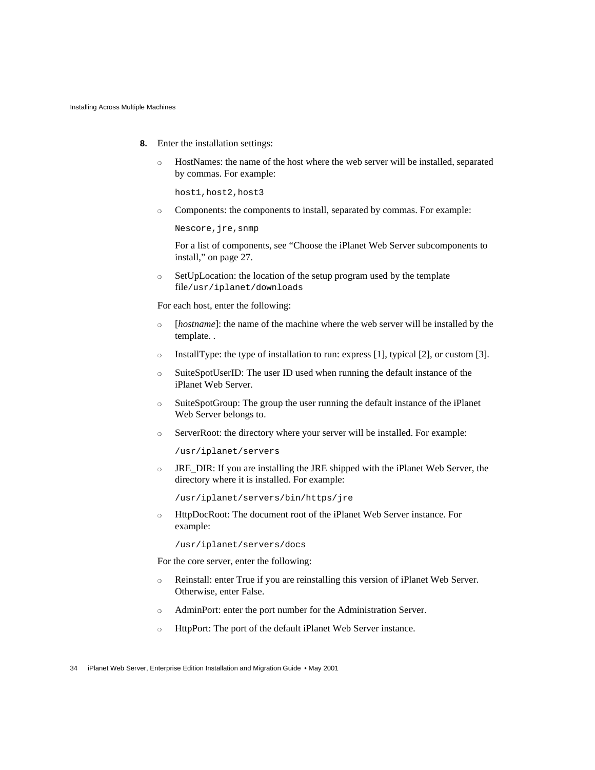- **8.** Enter the installation settings:
	- ❍ HostNames: the name of the host where the web server will be installed, separated by commas. For example:

host1,host2,host3

❍ Components: the components to install, separated by commas. For example:

Nescore, jre, snmp

For a list of components, see ["Choose the iPlanet Web Server subcomponents to](#page-26-0)  [install," on page 27.](#page-26-0)

❍ SetUpLocation: the location of the setup program used by the template file/usr/iplanet/downloads

For each host, enter the following:

- ❍ [*hostname*]: the name of the machine where the web server will be installed by the template. .
- ❍ InstallType: the type of installation to run: express [1], typical [2], or custom [3].
- ❍ SuiteSpotUserID: The user ID used when running the default instance of the iPlanet Web Server.
- ❍ SuiteSpotGroup: The group the user running the default instance of the iPlanet Web Server belongs to.
- ❍ ServerRoot: the directory where your server will be installed. For example:

/usr/iplanet/servers

❍ JRE\_DIR: If you are installing the JRE shipped with the iPlanet Web Server, the directory where it is installed. For example:

/usr/iplanet/servers/bin/https/jre

❍ HttpDocRoot: The document root of the iPlanet Web Server instance. For example:

/usr/iplanet/servers/docs

For the core server, enter the following:

- ❍ Reinstall: enter True if you are reinstalling this version of iPlanet Web Server. Otherwise, enter False.
- ❍ AdminPort: enter the port number for the Administration Server.
- ❍ HttpPort: The port of the default iPlanet Web Server instance.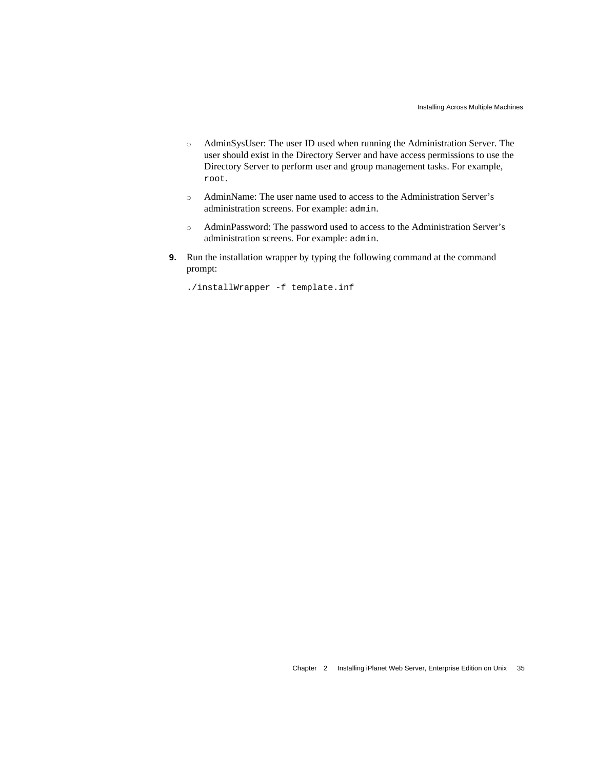- ❍ AdminSysUser: The user ID used when running the Administration Server. The user should exist in the Directory Server and have access permissions to use the Directory Server to perform user and group management tasks. For example, root.
- ❍ AdminName: The user name used to access to the Administration Server's administration screens. For example: admin.
- ❍ AdminPassword: The password used to access to the Administration Server's administration screens. For example: admin.
- **9.** Run the installation wrapper by typing the following command at the command prompt:

./installWrapper -f template.inf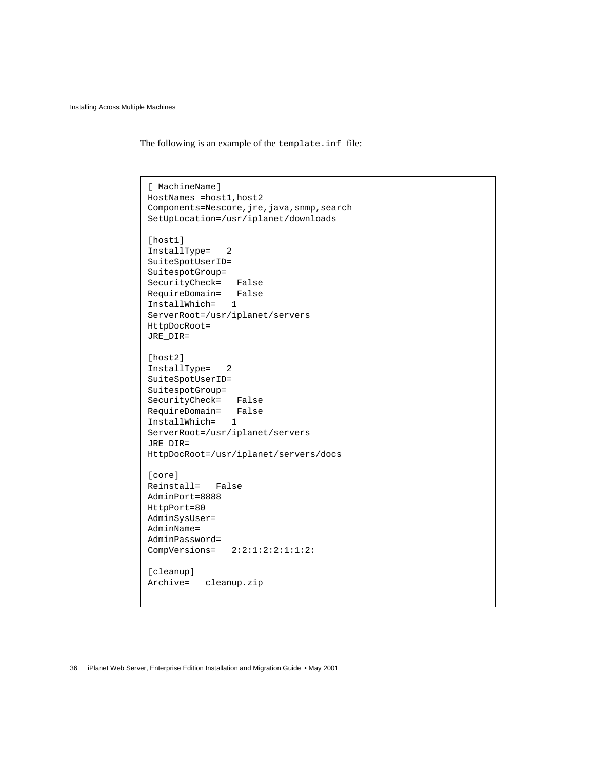The following is an example of the template.inf file:

```
[ MachineName]
HostNames =host1,host2
Components=Nescore, jre, java, snmp, search
SetUpLocation=/usr/iplanet/downloads
[host1]
InstallType= 2
SuiteSpotUserID=
SuitespotGroup=
SecurityCheck= False
RequireDomain= False
InstallWhich= 1
ServerRoot=/usr/iplanet/servers
HttpDocRoot=
JRE_DIR=
[host2]
InstallType= 2
SuiteSpotUserID=
SuitespotGroup=
SecurityCheck= False
RequireDomain= False
InstallWhich= 1
ServerRoot=/usr/iplanet/servers
JRE_DIR=
HttpDocRoot=/usr/iplanet/servers/docs
[core]
Reinstall= False
AdminPort=8888
HttpPort=80
AdminSysUser=
AdminName=
AdminPassword=
CompVersions= 2:2:1:2:2:1:1:2:
[cleanup]
Archive= cleanup.zip
```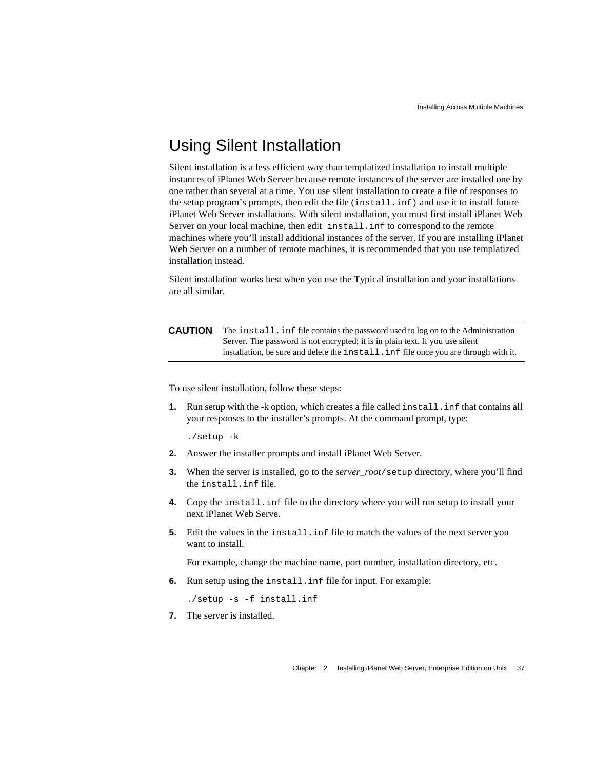# <span id="page-36-0"></span>Using Silent Installation

Silent installation is a less efficient way than templatized installation to install multiple instances of iPlanet Web Server because remote instances of the server are installed one by one rather than several at a time. You use silent installation to create a file of responses to the setup program's prompts, then edit the file (install.inf) and use it to install future iPlanet Web Server installations. With silent installation, you must first install iPlanet Web Server on your local machine, then edit install.inf to correspond to the remote machines where you'll install additional instances of the server. If you are installing iPlanet Web Server on a number of remote machines, it is recommended that you use templatized installation instead.

Silent installation works best when you use the Typical installation and your installations are all similar.

**CAUTION** The install.inf file contains the password used to log on to the Administration Server. The password is not encrypted; it is in plain text. If you use silent installation, be sure and delete the install.inf file once you are through with it.

To use silent installation, follow these steps:

**1.** Run setup with the -k option, which creates a file called install inf that contains all your responses to the installer's prompts. At the command prompt, type:

./setup -k

- **2.** Answer the installer prompts and install iPlanet Web Server.
- **3.** When the server is installed, go to the *server root*/setup directory, where you'll find the install.inf file.
- **4.** Copy the install.inf file to the directory where you will run setup to install your next iPlanet Web Serve.
- **5.** Edit the values in the install. inf file to match the values of the next server you want to install.

For example, change the machine name, port number, installation directory, etc.

**6.** Run setup using the install.inf file for input. For example:

./setup -s -f install.inf

**7.** The server is installed.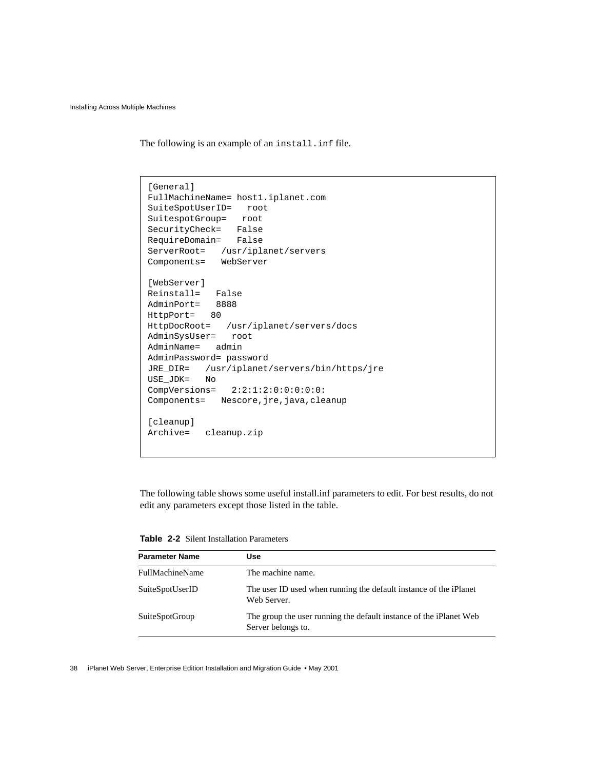The following is an example of an install.inf file.

```
[General]
FullMachineName= host1.iplanet.com
SuiteSpotUserID= root
SuitespotGroup= root
SecurityCheck= False
RequireDomain= False
ServerRoot= /usr/iplanet/servers
Components= WebServer
[WebServer]
Reinstall= False
AdminPort= 8888
HttpPort= 80
HttpDocRoot= /usr/iplanet/servers/docs
AdminSysUser= root
AdminName= admin
AdminPassword= password
JRE_DIR= /usr/iplanet/servers/bin/https/jre
USE_JDK= No
CompVersions= 2:2:1:2:0:0:0:0:0:
Components= Nescore, jre, java, cleanup
[cleanup]
Archive= cleanup.zip
```
The following table shows some useful install.inf parameters to edit. For best results, do not edit any parameters except those listed in the table.

| <b>Parameter Name</b>  | Use                                                                                      |
|------------------------|------------------------------------------------------------------------------------------|
| <b>FullMachineName</b> | The machine name.                                                                        |
| SuiteSpotUserID        | The user ID used when running the default instance of the iPlanet<br>Web Server.         |
| <b>SuiteSpotGroup</b>  | The group the user running the default instance of the iPlanet Web<br>Server belongs to. |

**Table 2-2** Silent Installation Parameters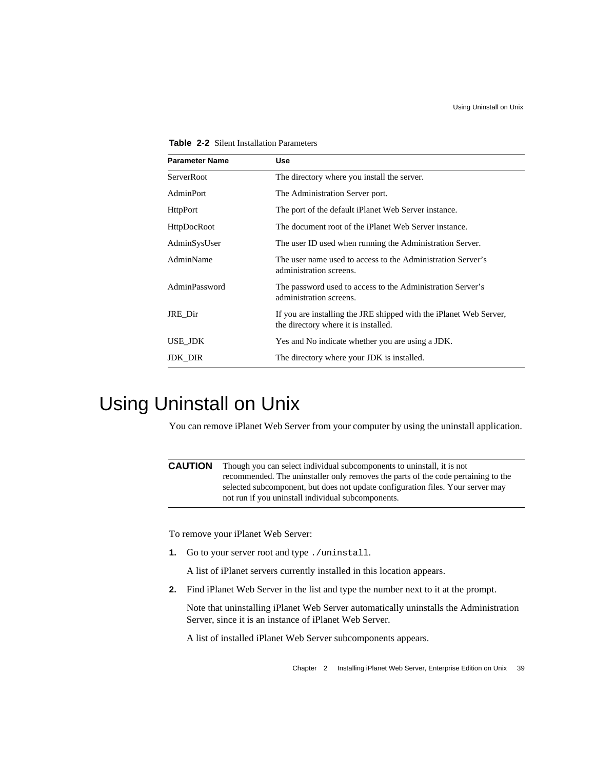| <b>Parameter Name</b> | <b>Use</b>                                                                                                 |
|-----------------------|------------------------------------------------------------------------------------------------------------|
| ServerRoot            | The directory where you install the server.                                                                |
| AdminPort             | The Administration Server port.                                                                            |
| <b>HttpPort</b>       | The port of the default iPlanet Web Server instance.                                                       |
| <b>HttpDocRoot</b>    | The document root of the iPlanet Web Server instance.                                                      |
| AdminSysUser          | The user ID used when running the Administration Server.                                                   |
| AdminName             | The user name used to access to the Administration Server's<br>administration screens.                     |
| AdminPassword         | The password used to access to the Administration Server's<br>administration screens.                      |
| JRE Dir               | If you are installing the JRE shipped with the iPlanet Web Server,<br>the directory where it is installed. |
| USE JDK               | Yes and No indicate whether you are using a JDK.                                                           |
| JDK DIR               | The directory where your JDK is installed.                                                                 |

<span id="page-38-0"></span>**Table 2-2** Silent Installation Parameters

# Using Uninstall on Unix

You can remove iPlanet Web Server from your computer by using the uninstall application.

**CAUTION** Though you can select individual subcomponents to uninstall, it is not recommended. The uninstaller only removes the parts of the code pertaining to the selected subcomponent, but does not update configuration files. Your server may not run if you uninstall individual subcomponents.

To remove your iPlanet Web Server:

**1.** Go to your server root and type ./uninstall.

A list of iPlanet servers currently installed in this location appears.

**2.** Find iPlanet Web Server in the list and type the number next to it at the prompt.

Note that uninstalling iPlanet Web Server automatically uninstalls the Administration Server, since it is an instance of iPlanet Web Server.

A list of installed iPlanet Web Server subcomponents appears.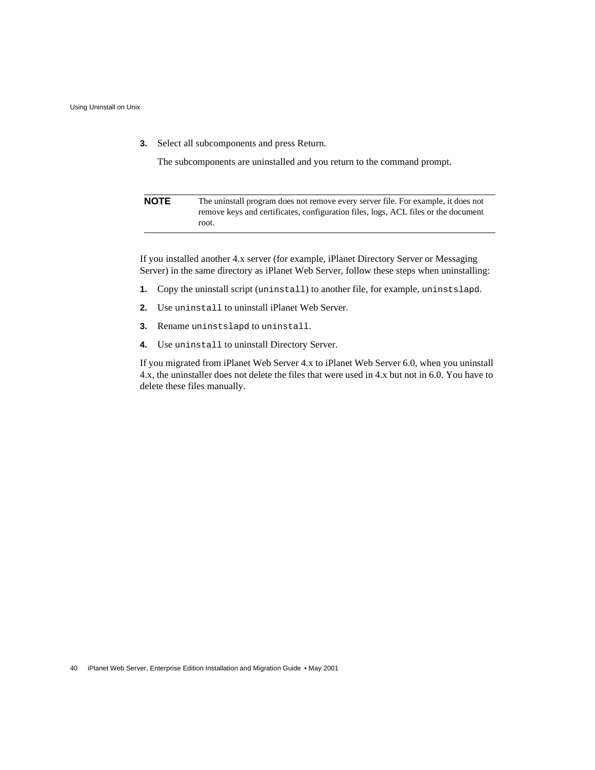**3.** Select all subcomponents and press Return.

The subcomponents are uninstalled and you return to the command prompt.

**NOTE** The uninstall program does not remove every server file. For example, it does not remove keys and certificates, configuration files, logs, ACL files or the document root.

If you installed another 4.x server (for example, iPlanet Directory Server or Messaging Server) in the same directory as iPlanet Web Server, follow these steps when uninstalling:

- **1.** Copy the uninstall script (uninstall) to another file, for example, uninstslapd.
- **2.** Use uninstall to uninstall iPlanet Web Server.
- **3.** Rename uninstslapd to uninstall.
- **4.** Use uninstall to uninstall Directory Server.

If you migrated from iPlanet Web Server 4.x to iPlanet Web Server 6.0, when you uninstall 4.x, the uninstaller does not delete the files that were used in 4.x but not in 6.0. You have to delete these files manually.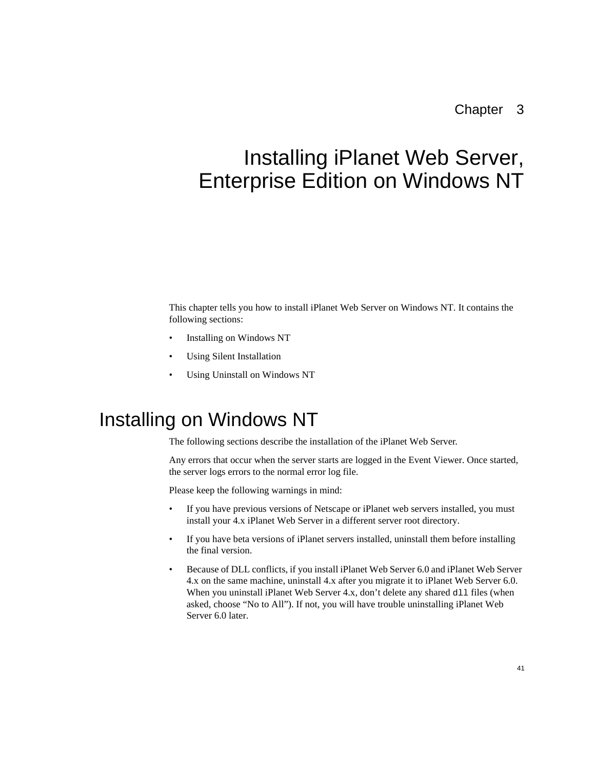# <span id="page-40-0"></span>Installing iPlanet Web Server, Enterprise Edition on Windows NT

This chapter tells you how to install iPlanet Web Server on Windows NT. It contains the following sections:

- Installing on Windows NT
- Using Silent Installation
- • [Using Uninstall on Windows NT](#page-49-0)

# Installing on Windows NT

The following sections describe the installation of the iPlanet Web Server.

Any errors that occur when the server starts are logged in the Event Viewer. Once started, the server logs errors to the normal error log file.

Please keep the following warnings in mind:

- If you have previous versions of Netscape or iPlanet web servers installed, you must install your 4.x iPlanet Web Server in a different server root directory.
- If you have beta versions of iPlanet servers installed, uninstall them before installing the final version.
- Because of DLL conflicts, if you install iPlanet Web Server 6.0 and iPlanet Web Server 4.x on the same machine, uninstall 4.x after you migrate it to iPlanet Web Server 6.0. When you uninstall iPlanet Web Server 4.x, don't delete any shared dll files (when asked, choose "No to All"). If not, you will have trouble uninstalling iPlanet Web Server 6.0 later.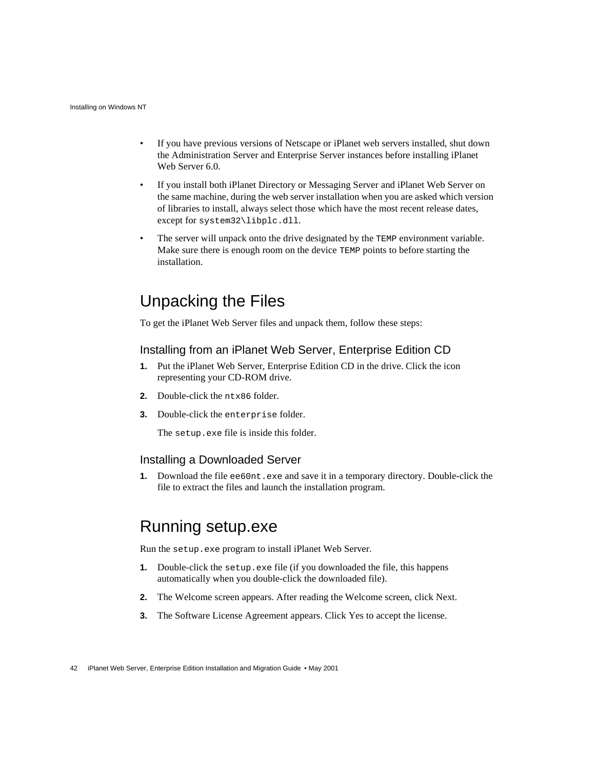- <span id="page-41-0"></span>• If you have previous versions of Netscape or iPlanet web servers installed, shut down the Administration Server and Enterprise Server instances before installing iPlanet Web Server 6.0.
- If you install both iPlanet Directory or Messaging Server and iPlanet Web Server on the same machine, during the web server installation when you are asked which version of libraries to install, always select those which have the most recent release dates, except for system32\libplc.dll.
- The server will unpack onto the drive designated by the TEMP environment variable. Make sure there is enough room on the device TEMP points to before starting the installation.

# Unpacking the Files

To get the iPlanet Web Server files and unpack them, follow these steps:

### Installing from an iPlanet Web Server, Enterprise Edition CD

- **1.** Put the iPlanet Web Server, Enterprise Edition CD in the drive. Click the icon representing your CD-ROM drive.
- **2.** Double-click the ntx86 folder.
- **3.** Double-click the enterprise folder.

The setup.exe file is inside this folder.

#### Installing a Downloaded Server

**1.** Download the file ee60nt.exe and save it in a temporary directory. Double-click the file to extract the files and launch the installation program.

## Running setup.exe

Run the setup.exe program to install iPlanet Web Server.

- **1.** Double-click the setup.exe file (if you downloaded the file, this happens automatically when you double-click the downloaded file).
- **2.** The Welcome screen appears. After reading the Welcome screen, click Next.
- **3.** The Software License Agreement appears. Click Yes to accept the license.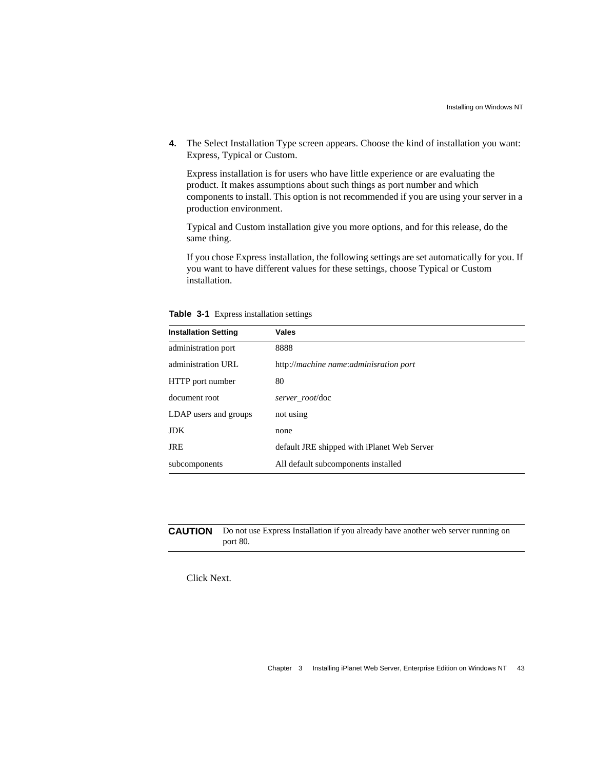**4.** The Select Installation Type screen appears. Choose the kind of installation you want: Express, Typical or Custom.

Express installation is for users who have little experience or are evaluating the product. It makes assumptions about such things as port number and which components to install. This option is not recommended if you are using your server in a production environment.

Typical and Custom installation give you more options, and for this release, do the same thing.

If you chose Express installation, the following settings are set automatically for you. If you want to have different values for these settings, choose Typical or Custom installation.

| <b>Installation Setting</b> | <b>Vales</b>                                |
|-----------------------------|---------------------------------------------|
| administration port         | 8888                                        |
| administration URL          | http://machine.name:adminisration.port      |
| HTTP port number            | 80                                          |
| document root               | <i>server root</i> /doc                     |
| LDAP users and groups       | not using                                   |
| JDK.                        | none                                        |
| <b>JRE</b>                  | default JRE shipped with iPlanet Web Server |
| subcomponents               | All default subcomponents installed         |

**Table 3-1** Express installation settings

| <b>CAUTION</b> Do not use Express Installation if you already have another web server running on |
|--------------------------------------------------------------------------------------------------|
| port 80.                                                                                         |

Click Next.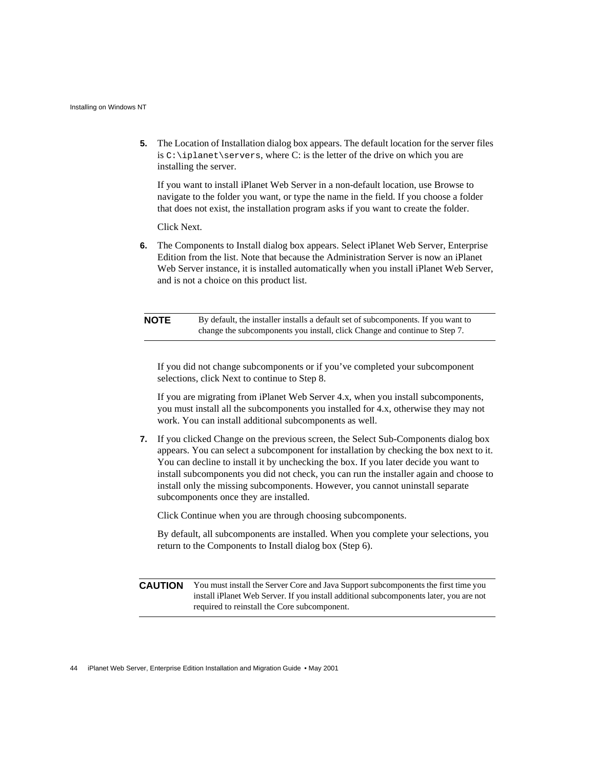<span id="page-43-0"></span>**5.** The Location of Installation dialog box appears. The default location for the server files is  $C:\iota$  planet \servers, where C: is the letter of the drive on which you are installing the server.

If you want to install iPlanet Web Server in a non-default location, use Browse to navigate to the folder you want, or type the name in the field. If you choose a folder that does not exist, the installation program asks if you want to create the folder.

Click Next.

**6.** The Components to Install dialog box appears. Select iPlanet Web Server, Enterprise Edition from the list. Note that because the Administration Server is now an iPlanet Web Server instance, it is installed automatically when you install iPlanet Web Server, and is not a choice on this product list.

#### **NOTE** By default, the installer installs a default set of subcomponents. If you want to change the subcomponents you install, click Change and continue to Step 7.

If you did not change subcomponents or if you've completed your subcomponent selections, click Next to continue to [Step 8](#page-44-0).

If you are migrating from iPlanet Web Server 4.x, when you install subcomponents, you must install all the subcomponents you installed for 4.x, otherwise they may not work. You can install additional subcomponents as well.

**7.** If you clicked Change on the previous screen, the Select Sub-Components dialog box appears. You can select a subcomponent for installation by checking the box next to it. You can decline to install it by unchecking the box. If you later decide you want to install subcomponents you did not check, you can run the installer again and choose to install only the missing subcomponents. However, you cannot uninstall separate subcomponents once they are installed.

Click Continue when you are through choosing subcomponents.

By default, all subcomponents are installed. When you complete your selections, you return to the Components to Install dialog box (Step 6).

**CAUTION** You must install the Server Core and Java Support subcomponents the first time you install iPlanet Web Server. If you install additional subcomponents later, you are not required to reinstall the Core subcomponent.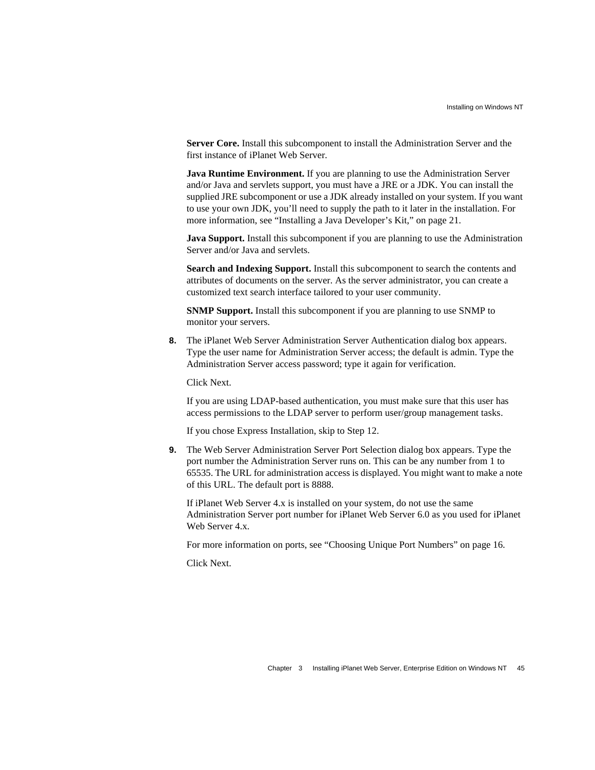<span id="page-44-0"></span>**Server Core.** Install this subcomponent to install the Administration Server and the first instance of iPlanet Web Server.

**Java Runtime Environment.** If you are planning to use the Administration Server and/or Java and servlets support, you must have a JRE or a JDK. You can install the supplied JRE subcomponent or use a JDK already installed on your system. If you want to use your own JDK, you'll need to supply the path to it later in the installation. For more information, see ["Installing a Java Developer's Kit," on page 21](#page-20-0).

**Java Support.** Install this subcomponent if you are planning to use the Administration Server and/or Java and servlets.

**Search and Indexing Support.** Install this subcomponent to search the contents and attributes of documents on the server. As the server administrator, you can create a customized text search interface tailored to your user community.

**SNMP Support.** Install this subcomponent if you are planning to use SNMP to monitor your servers.

**8.** The iPlanet Web Server Administration Server Authentication dialog box appears. Type the user name for Administration Server access; the default is admin. Type the Administration Server access password; type it again for verification.

Click Next.

If you are using LDAP-based authentication, you must make sure that this user has access permissions to the LDAP server to perform user/group management tasks.

If you chose Express Installation, skip to [Step 12.](#page-45-0)

**9.** The Web Server Administration Server Port Selection dialog box appears. Type the port number the Administration Server runs on. This can be any number from 1 to 65535. The URL for administration access is displayed. You might want to make a note of this URL. The default port is 8888.

If iPlanet Web Server 4.x is installed on your system, do not use the same Administration Server port number for iPlanet Web Server 6.0 as you used for iPlanet Web Server 4.x.

For more information on ports, see ["Choosing Unique Port Numbers" on page 16.](#page-15-0)

Click Next.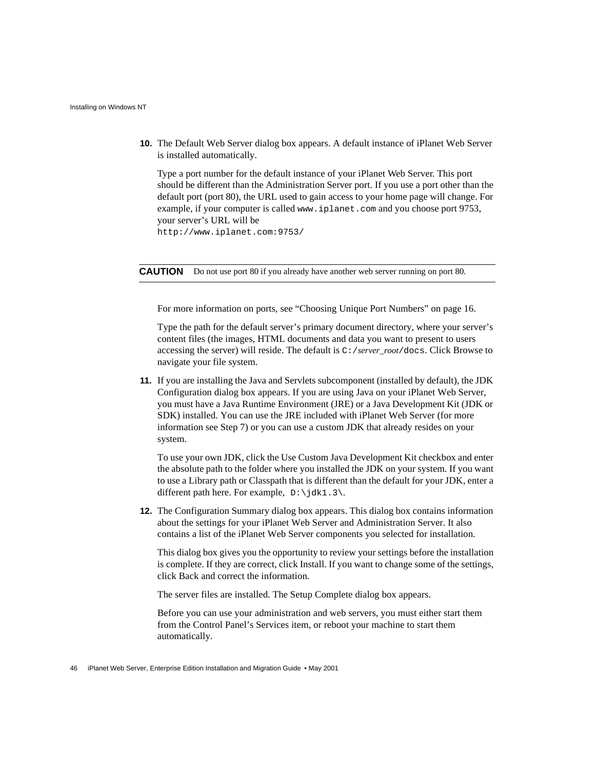<span id="page-45-0"></span>**10.** The Default Web Server dialog box appears. A default instance of iPlanet Web Server is installed automatically.

Type a port number for the default instance of your iPlanet Web Server. This port should be different than the Administration Server port. If you use a port other than the default port (port 80), the URL used to gain access to your home page will change. For example, if your computer is called www.iplanet.com and you choose port 9753, your server's URL will be

http://www.iplanet.com:9753/

**CAUTION** Do not use port 80 if you already have another web server running on port 80.

For more information on ports, see ["Choosing Unique Port Numbers" on page 16.](#page-15-0)

Type the path for the default server's primary document directory, where your server's content files (the images, HTML documents and data you want to present to users accessing the server) will reside. The default is C:/*server\_root*/docs. Click Browse to navigate your file system.

**11.** If you are installing the Java and Servlets subcomponent (installed by default), the JDK Configuration dialog box appears. If you are using Java on your iPlanet Web Server, you must have a Java Runtime Environment (JRE) or a Java Development Kit (JDK or SDK) installed. You can use the JRE included with iPlanet Web Server (for more information see [Step 7](#page-43-0)) or you can use a custom JDK that already resides on your system.

To use your own JDK, click the Use Custom Java Development Kit checkbox and enter the absolute path to the folder where you installed the JDK on your system. If you want to use a Library path or Classpath that is different than the default for your JDK, enter a different path here. For example,  $D:\iota\ jdk1.3\iota$ .

**12.** The Configuration Summary dialog box appears. This dialog box contains information about the settings for your iPlanet Web Server and Administration Server. It also contains a list of the iPlanet Web Server components you selected for installation.

This dialog box gives you the opportunity to review your settings before the installation is complete. If they are correct, click Install. If you want to change some of the settings, click Back and correct the information.

The server files are installed. The Setup Complete dialog box appears.

Before you can use your administration and web servers, you must either start them from the Control Panel's Services item, or reboot your machine to start them automatically.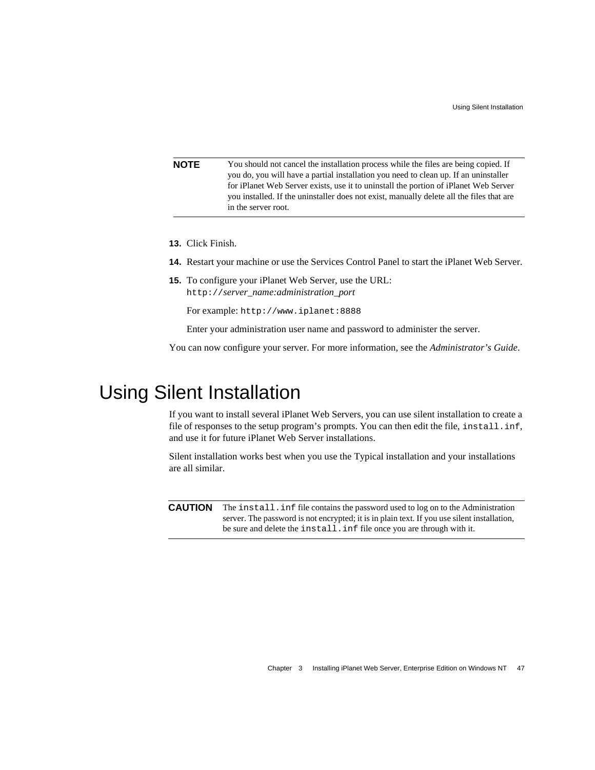<span id="page-46-0"></span>**NOTE** You should not cancel the installation process while the files are being copied. If you do, you will have a partial installation you need to clean up. If an uninstaller for iPlanet Web Server exists, use it to uninstall the portion of iPlanet Web Server you installed. If the uninstaller does not exist, manually delete all the files that are in the server root.

- **13.** Click Finish.
- **14.** Restart your machine or use the Services Control Panel to start the iPlanet Web Server.
- **15.** To configure your iPlanet Web Server, use the URL: http://*server\_name:administration\_port*

For example: http://www.iplanet:8888

Enter your administration user name and password to administer the server.

You can now configure your server. For more information, see the *Administrator's Guide*.

# Using Silent Installation

If you want to install several iPlanet Web Servers, you can use silent installation to create a file of responses to the setup program's prompts. You can then edit the file, install.inf, and use it for future iPlanet Web Server installations.

Silent installation works best when you use the Typical installation and your installations are all similar.

**CAUTION** The install.inf file contains the password used to log on to the Administration server. The password is not encrypted; it is in plain text. If you use silent installation, be sure and delete the install.inf file once you are through with it.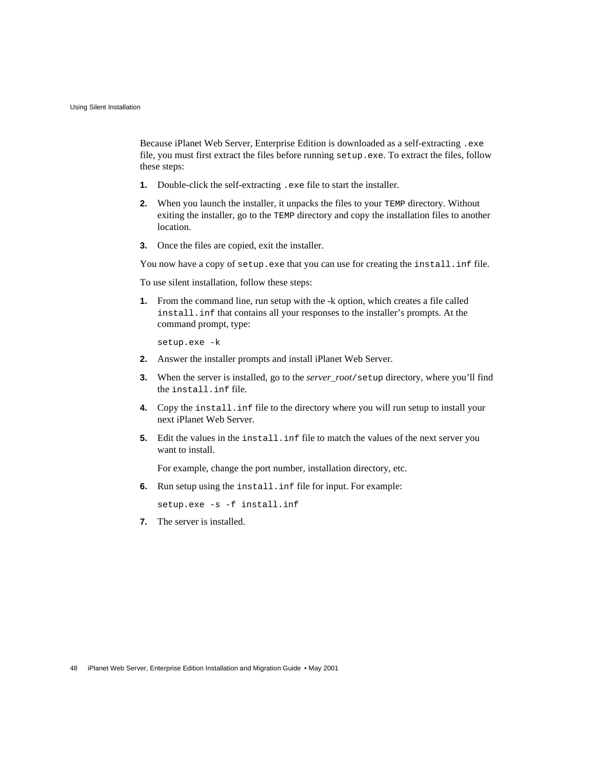Because iPlanet Web Server, Enterprise Edition is downloaded as a self-extracting . exe file, you must first extract the files before running setup.exe. To extract the files, follow these steps:

- **1.** Double-click the self-extracting . exe file to start the installer.
- **2.** When you launch the installer, it unpacks the files to your TEMP directory. Without exiting the installer, go to the TEMP directory and copy the installation files to another location.
- **3.** Once the files are copied, exit the installer.

You now have a copy of setup.exe that you can use for creating the install.inf file.

To use silent installation, follow these steps:

**1.** From the command line, run setup with the -k option, which creates a file called install.inf that contains all your responses to the installer's prompts. At the command prompt, type:

setup.exe -k

- **2.** Answer the installer prompts and install iPlanet Web Server.
- **3.** When the server is installed, go to the *server root*/setup directory, where you'll find the install.inf file.
- **4.** Copy the install.inf file to the directory where you will run setup to install your next iPlanet Web Server.
- **5.** Edit the values in the install.inf file to match the values of the next server you want to install.

For example, change the port number, installation directory, etc.

**6.** Run setup using the install.inf file for input. For example:

setup.exe -s -f install.inf

**7.** The server is installed.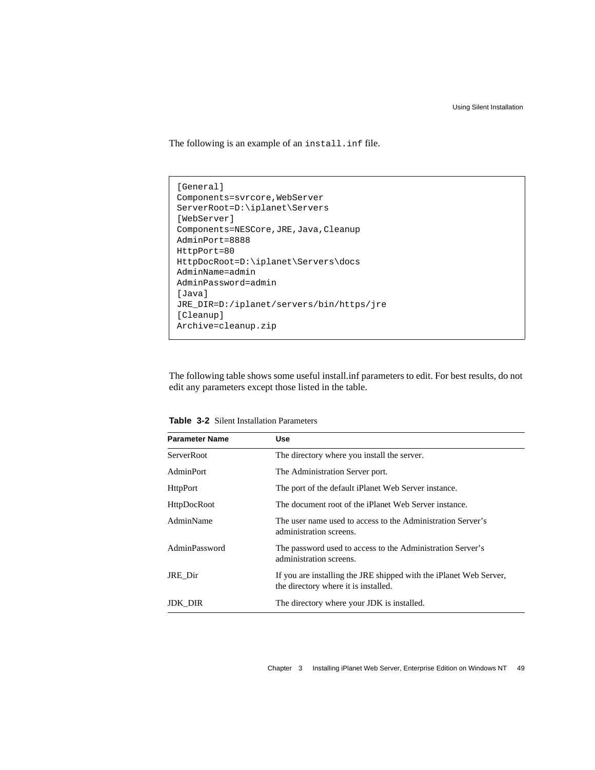The following is an example of an install.inf file.

```
[General]
Components=svrcore, WebServer
ServerRoot=D:\iplanet\Servers
[WebServer]
Components=NESCore,JRE,Java,Cleanup
AdminPort=8888
HttpPort=80
HttpDocRoot=D:\iplanet\Servers\docs
AdminName=admin
AdminPassword=admin
[Java]
JRE_DIR=D:/iplanet/servers/bin/https/jre
[Cleanup]
Archive=cleanup.zip
```
The following table shows some useful install.inf parameters to edit. For best results, do not edit any parameters except those listed in the table.

| <b>Parameter Name</b> | Use                                                                                                        |
|-----------------------|------------------------------------------------------------------------------------------------------------|
| <b>ServerRoot</b>     | The directory where you install the server.                                                                |
| AdminPort             | The Administration Server port.                                                                            |
| <b>HttpPort</b>       | The port of the default iPlanet Web Server instance.                                                       |
| <b>HttpDocRoot</b>    | The document root of the iPlanet Web Server instance.                                                      |
| AdminName             | The user name used to access to the Administration Server's<br>administration screens.                     |
| AdminPassword         | The password used to access to the Administration Server's<br>administration screens.                      |
| JRE Dir               | If you are installing the JRE shipped with the iPlanet Web Server,<br>the directory where it is installed. |
| <b>JDK DIR</b>        | The directory where your JDK is installed.                                                                 |

**Table 3-2** Silent Installation Parameters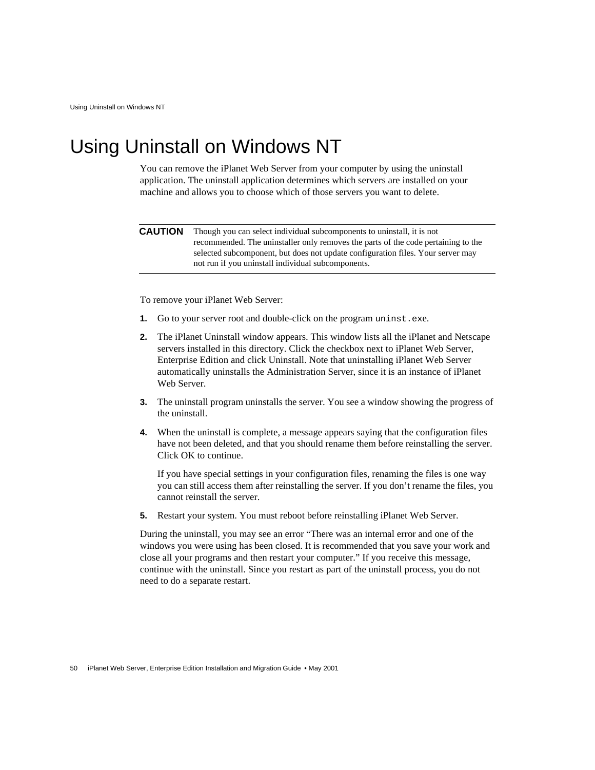# <span id="page-49-0"></span>Using Uninstall on Windows NT

You can remove the iPlanet Web Server from your computer by using the uninstall application. The uninstall application determines which servers are installed on your machine and allows you to choose which of those servers you want to delete.

**CAUTION** Though you can select individual subcomponents to uninstall, it is not recommended. The uninstaller only removes the parts of the code pertaining to the selected subcomponent, but does not update configuration files. Your server may not run if you uninstall individual subcomponents.

To remove your iPlanet Web Server:

- **1.** Go to your server root and double-click on the program uninst.exe.
- **2.** The iPlanet Uninstall window appears. This window lists all the iPlanet and Netscape servers installed in this directory. Click the checkbox next to iPlanet Web Server, Enterprise Edition and click Uninstall. Note that uninstalling iPlanet Web Server automatically uninstalls the Administration Server, since it is an instance of iPlanet Web Server.
- **3.** The uninstall program uninstalls the server. You see a window showing the progress of the uninstall.
- **4.** When the uninstall is complete, a message appears saying that the configuration files have not been deleted, and that you should rename them before reinstalling the server. Click OK to continue.

If you have special settings in your configuration files, renaming the files is one way you can still access them after reinstalling the server. If you don't rename the files, you cannot reinstall the server.

**5.** Restart your system. You must reboot before reinstalling iPlanet Web Server.

During the uninstall, you may see an error "There was an internal error and one of the windows you were using has been closed. It is recommended that you save your work and close all your programs and then restart your computer." If you receive this message, continue with the uninstall. Since you restart as part of the uninstall process, you do not need to do a separate restart.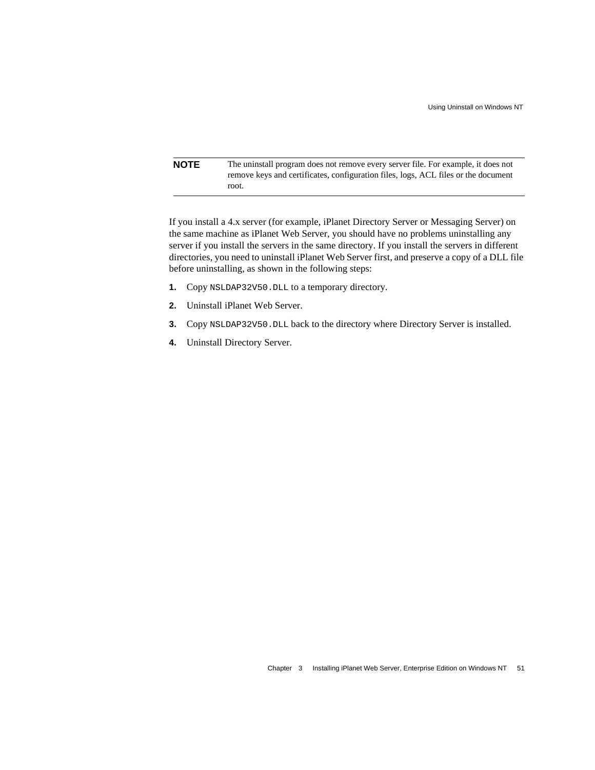**NOTE** The uninstall program does not remove every server file. For example, it does not remove keys and certificates, configuration files, logs, ACL files or the document root.

If you install a 4.x server (for example, iPlanet Directory Server or Messaging Server) on the same machine as iPlanet Web Server, you should have no problems uninstalling any server if you install the servers in the same directory. If you install the servers in different directories, you need to uninstall iPlanet Web Server first, and preserve a copy of a DLL file before uninstalling, as shown in the following steps:

- **1.** Copy NSLDAP32V50.DLL to a temporary directory.
- **2.** Uninstall iPlanet Web Server.
- **3.** Copy NSLDAP32V50.DLL back to the directory where Directory Server is installed.
- **4.** Uninstall Directory Server.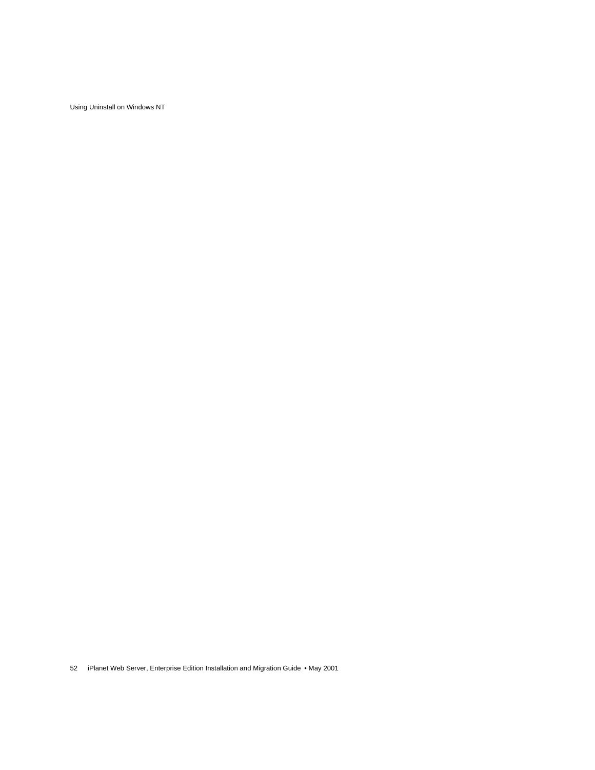Using Uninstall on Windows NT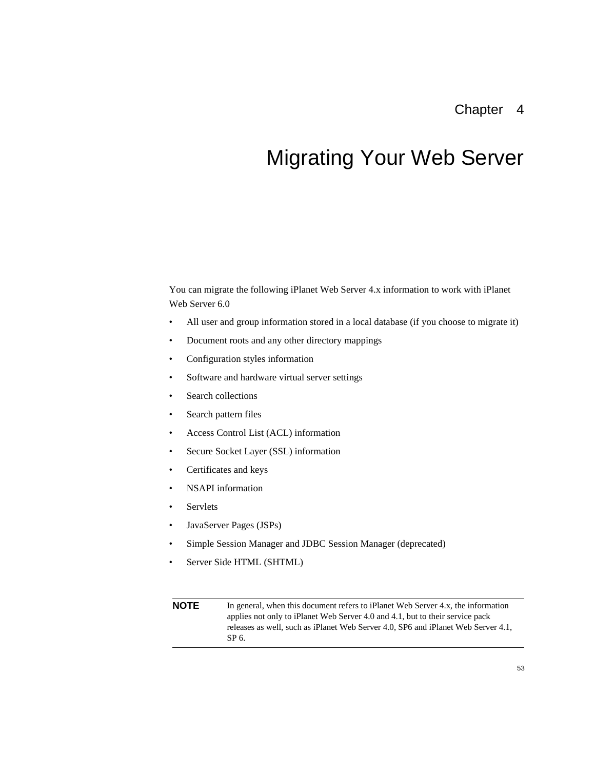# <span id="page-52-0"></span>Migrating Your Web Server

You can migrate the following iPlanet Web Server 4.x information to work with iPlanet Web Server 6.0

- All user and group information stored in a local database (if you choose to migrate it)
- Document roots and any other directory mappings
- Configuration styles information
- Software and hardware virtual server settings
- Search collections
- Search pattern files
- Access Control List (ACL) information
- Secure Socket Layer (SSL) information
- Certificates and keys
- NSAPI information
- Servlets
- JavaServer Pages (JSPs)
- Simple Session Manager and JDBC Session Manager (deprecated)
- Server Side HTML (SHTML)

**NOTE** In general, when this document refers to iPlanet Web Server 4.x, the information applies not only to iPlanet Web Server 4.0 and 4.1, but to their service pack releases as well, such as iPlanet Web Server 4.0, SP6 and iPlanet Web Server 4.1, SP 6.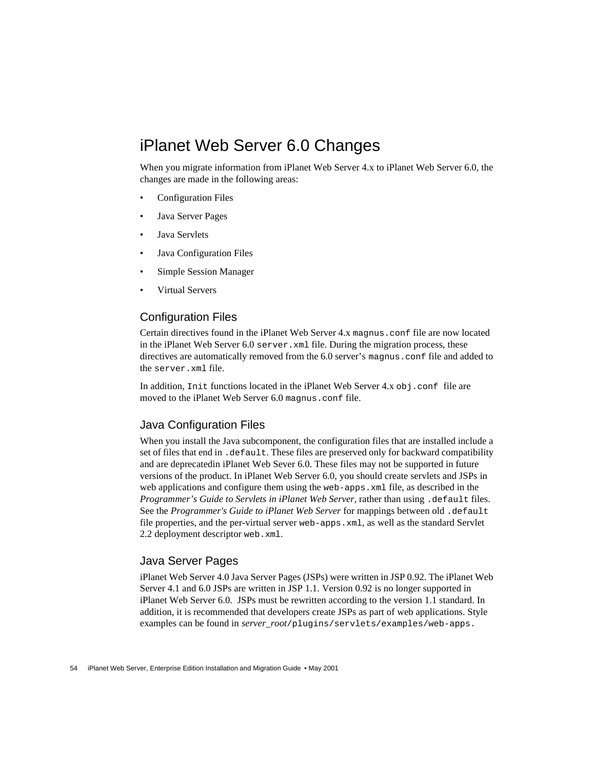# <span id="page-53-0"></span>iPlanet Web Server 6.0 Changes

When you migrate information from iPlanet Web Server 4.x to iPlanet Web Server 6.0, the changes are made in the following areas:

- Configuration Files
- Java Server Pages
- • [Java Servlets](#page-54-0)
- Java Configuration Files
- • [Simple Session Manager](#page-54-0)
- • [Virtual Servers](#page-54-0)

### Configuration Files

Certain directives found in the iPlanet Web Server 4.x magnus.conf file are now located in the iPlanet Web Server 6.0 server.xml file. During the migration process, these directives are automatically removed from the 6.0 server's magnus.conf file and added to the server.xml file.

In addition, Init functions located in the iPlanet Web Server  $4.x$  obj.conf file are moved to the iPlanet Web Server 6.0 magnus.conf file.

### Java Configuration Files

When you install the Java subcomponent, the configuration files that are installed include a set of files that end in .default. These files are preserved only for backward compatibility and are deprecatedin iPlanet Web Sever 6.0. These files may not be supported in future versions of the product. In iPlanet Web Server 6.0, you should create servlets and JSPs in web applications and configure them using the web-apps.xml file, as described in the *Programmer's Guide to Servlets in iPlanet Web Server*, rather than using .default files. See the *Programmer's Guide to iPlanet Web Server* for mappings between old .default file properties, and the per-virtual server web-apps.xml, as well as the standard Servlet 2.2 deployment descriptor web.xml.

### Java Server Pages

iPlanet Web Server 4.0 Java Server Pages (JSPs) were written in JSP 0.92. The iPlanet Web Server 4.1 and 6.0 JSPs are written in JSP 1.1. Version 0.92 is no longer supported in iPlanet Web Server 6.0. JSPs must be rewritten according to the version 1.1 standard. In addition, it is recommended that developers create JSPs as part of web applications. Style examples can be found in *server\_root*/plugins/servlets/examples/web-apps.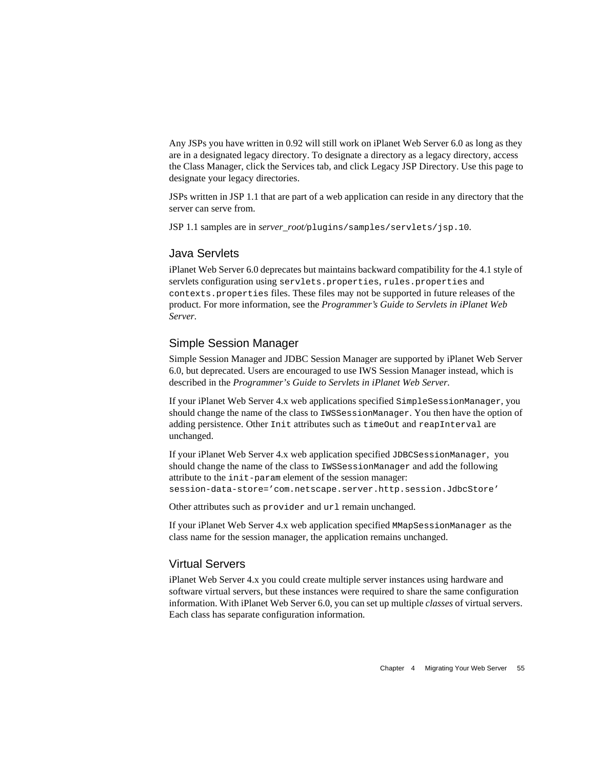<span id="page-54-0"></span>Any JSPs you have written in 0.92 will still work on iPlanet Web Server 6.0 as long as they are in a designated legacy directory. To designate a directory as a legacy directory, access the Class Manager, click the Services tab, and click Legacy JSP Directory. Use this page to designate your legacy directories.

JSPs written in JSP 1.1 that are part of a web application can reside in any directory that the server can serve from.

JSP 1.1 samples are in *server\_root/*plugins/samples/servlets/jsp.10.

#### Java Servlets

iPlanet Web Server 6.0 deprecates but maintains backward compatibility for the 4.1 style of servlets configuration using servlets.properties, rules.properties and contexts.properties files. These files may not be supported in future releases of the product. For more information, see the *Programmer's Guide to Servlets in iPlanet Web Server.*

### Simple Session Manager

Simple Session Manager and JDBC Session Manager are supported by iPlanet Web Server 6.0, but deprecated. Users are encouraged to use IWS Session Manager instead, which is described in the *Programmer's Guide to Servlets in iPlanet Web Server*.

If your iPlanet Web Server 4.x web applications specified SimpleSessionManager, you should change the name of the class to IWSSessionManager. You then have the option of adding persistence. Other Init attributes such as timeOut and reapInterval are unchanged.

If your iPlanet Web Server 4.x web application specified JDBCSessionManager, you should change the name of the class to IWSSessionManager and add the following attribute to the init-param element of the session manager: session-data-store='com.netscape.server.http.session.JdbcStore'

Other attributes such as provider and url remain unchanged.

If your iPlanet Web Server 4.x web application specified MMapSessionManager as the class name for the session manager, the application remains unchanged.

#### Virtual Servers

iPlanet Web Server 4.x you could create multiple server instances using hardware and software virtual servers, but these instances were required to share the same configuration information. With iPlanet Web Server 6.0, you can set up multiple *classes* of virtual servers. Each class has separate configuration information.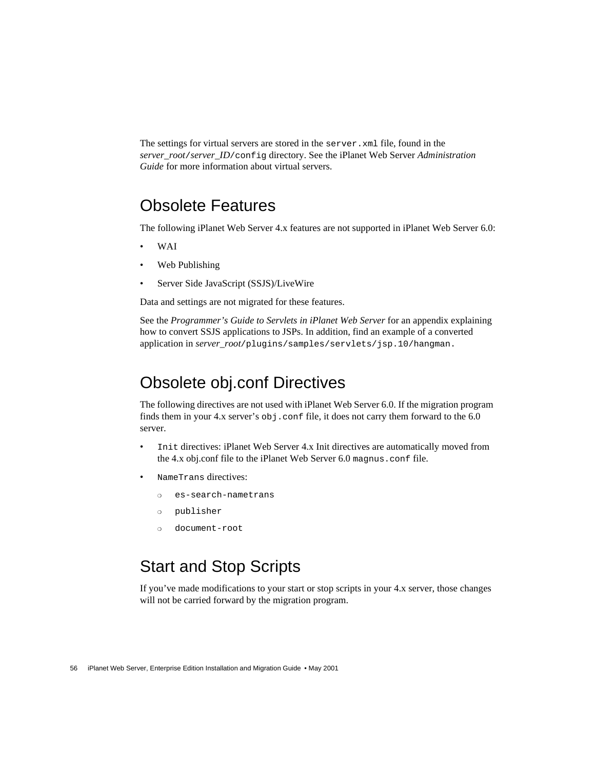<span id="page-55-0"></span>The settings for virtual servers are stored in the server.xml file, found in the *server\_root*/*server\_ID*/config directory. See the iPlanet Web Server *Administration Guide* for more information about virtual servers.

## Obsolete Features

The following iPlanet Web Server 4.x features are not supported in iPlanet Web Server 6.0:

- WAI
- Web Publishing
- Server Side JavaScript (SSJS)/LiveWire

Data and settings are not migrated for these features.

See the *Programmer's Guide to Servlets in iPlanet Web Server* for an appendix explaining how to convert SSJS applications to JSPs. In addition, find an example of a converted application in *server\_root*/plugins/samples/servlets/jsp.10/hangman.

# Obsolete obj.conf Directives

The following directives are not used with iPlanet Web Server 6.0. If the migration program finds them in your 4.x server's  $obj$ .conf file, it does not carry them forward to the 6.0 server.

- Init directives: iPlanet Web Server 4.x Init directives are automatically moved from the 4.x obj.conf file to the iPlanet Web Server 6.0 magnus.conf file.
- NameTrans directives:
	- ❍ es-search-nametrans
	- ❍ publisher
	- ❍ document-root

# Start and Stop Scripts

If you've made modifications to your start or stop scripts in your 4.x server, those changes will not be carried forward by the migration program.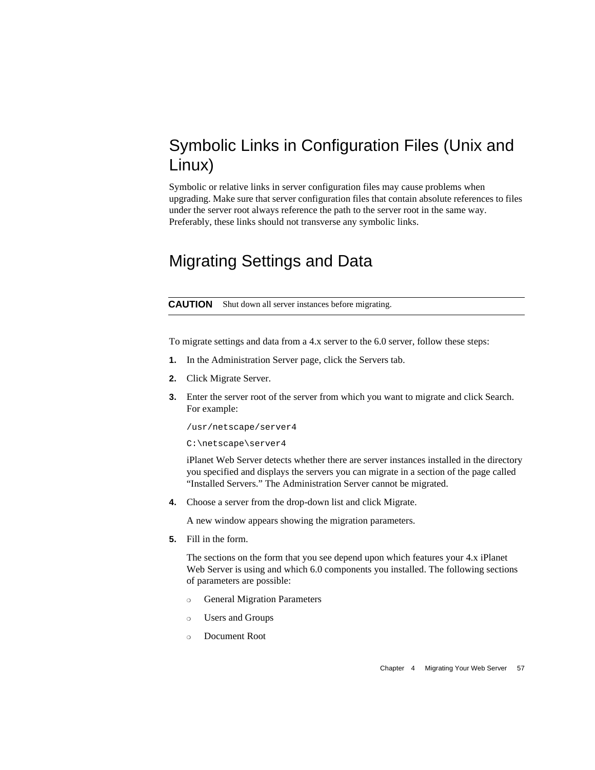# <span id="page-56-0"></span>Symbolic Links in Configuration Files (Unix and Linux)

Symbolic or relative links in server configuration files may cause problems when upgrading. Make sure that server configuration files that contain absolute references to files under the server root always reference the path to the server root in the same way. Preferably, these links should not transverse any symbolic links.

# Migrating Settings and Data

**CAUTION** Shut down all server instances before migrating.

To migrate settings and data from a 4.x server to the 6.0 server, follow these steps:

- **1.** In the Administration Server page, click the Servers tab.
- **2.** Click Migrate Server.
- **3.** Enter the server root of the server from which you want to migrate and click Search. For example:

/usr/netscape/server4

C:\netscape\server4

iPlanet Web Server detects whether there are server instances installed in the directory you specified and displays the servers you can migrate in a section of the page called "Installed Servers." The Administration Server cannot be migrated.

**4.** Choose a server from the drop-down list and click Migrate.

A new window appears showing the migration parameters.

**5.** Fill in the form.

The sections on the form that you see depend upon which features your 4.x iPlanet Web Server is using and which 6.0 components you installed. The following sections of parameters are possible:

- ❍ General Migration Parameters
- ❍ Users and Groups
- ❍ Document Root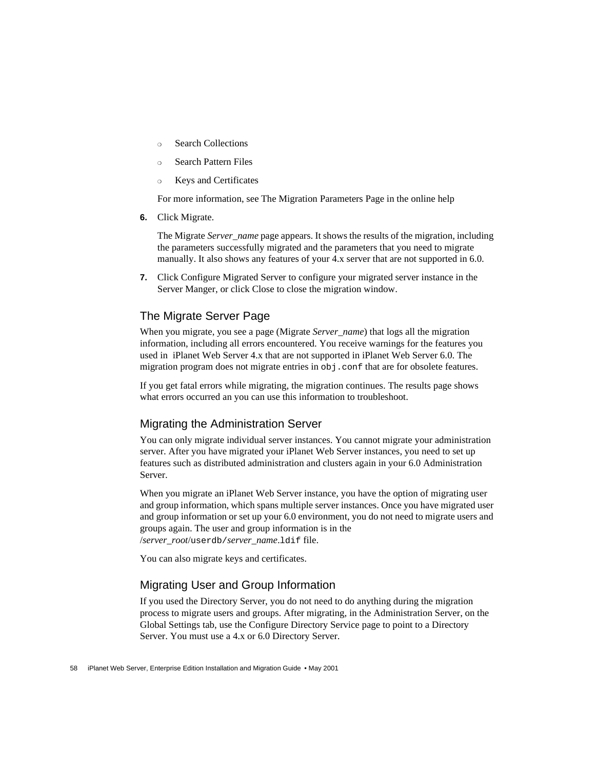- <span id="page-57-0"></span>❍ Search Collections
- ❍ Search Pattern Files
- ❍ Keys and Certificates

For more information, see The Migration Parameters Page in the online help

**6.** Click Migrate.

The Migrate *Server* name page appears. It shows the results of the migration, including the parameters successfully migrated and the parameters that you need to migrate manually. It also shows any features of your 4.x server that are not supported in 6.0.

**7.** Click Configure Migrated Server to configure your migrated server instance in the Server Manger, or click Close to close the migration window.

### The Migrate Server Page

When you migrate, you see a page (Migrate *Server name*) that logs all the migration information, including all errors encountered. You receive warnings for the features you used in iPlanet Web Server 4.x that are not supported in iPlanet Web Server 6.0. The migration program does not migrate entries in  $\phi$ . conf that are for obsolete features.

If you get fatal errors while migrating, the migration continues. The results page shows what errors occurred an you can use this information to troubleshoot.

#### Migrating the Administration Server

You can only migrate individual server instances. You cannot migrate your administration server. After you have migrated your iPlanet Web Server instances, you need to set up features such as distributed administration and clusters again in your 6.0 Administration Server.

When you migrate an iPlanet Web Server instance, you have the option of migrating user and group information, which spans multiple server instances. Once you have migrated user and group information or set up your 6.0 environment, you do not need to migrate users and groups again. The user and group information is in the /*server\_root*/userdb/*server\_name*.ldif file.

You can also migrate keys and certificates.

### Migrating User and Group Information

If you used the Directory Server, you do not need to do anything during the migration process to migrate users and groups. After migrating, in the Administration Server, on the Global Settings tab, use the Configure Directory Service page to point to a Directory Server. You must use a 4.x or 6.0 Directory Server.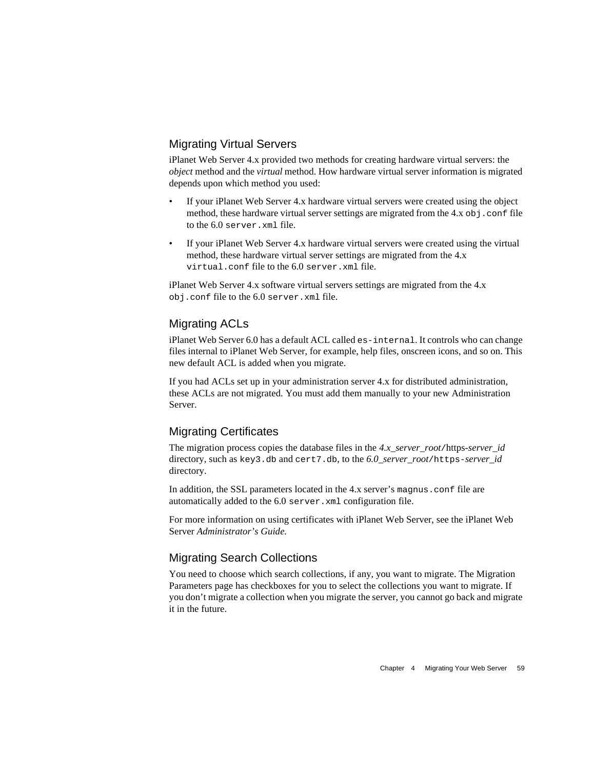### <span id="page-58-0"></span>Migrating Virtual Servers

iPlanet Web Server 4.x provided two methods for creating hardware virtual servers: the *object* method and the *virtual* method. How hardware virtual server information is migrated depends upon which method you used:

- If your iPlanet Web Server 4.x hardware virtual servers were created using the object method, these hardware virtual server settings are migrated from the  $4.x$  obj.conf file to the 6.0 server.xml file.
- If your iPlanet Web Server 4.x hardware virtual servers were created using the virtual method, these hardware virtual server settings are migrated from the 4.x virtual.conf file to the 6.0 server.xml file.

iPlanet Web Server 4.x software virtual servers settings are migrated from the 4.x obj.conf file to the 6.0 server.xml file.

### Migrating ACLs

iPlanet Web Server 6.0 has a default ACL called es-internal. It controls who can change files internal to iPlanet Web Server, for example, help files, onscreen icons, and so on. This new default ACL is added when you migrate.

If you had ACLs set up in your administration server 4.x for distributed administration, these ACLs are not migrated. You must add them manually to your new Administration Server.

### Migrating Certificates

The migration process copies the database files in the *4.x\_server\_root*/https-*server\_id* directory, such as key3.db and cert7.db, to the *6.0\_server\_root*/https-*server\_id*  directory.

In addition, the SSL parameters located in the 4.x server's magnus.conf file are automatically added to the 6.0 server.xml configuration file.

For more information on using certificates with iPlanet Web Server, see the iPlanet Web Server *Administrator's Guide.*

### Migrating Search Collections

You need to choose which search collections, if any, you want to migrate. The Migration Parameters page has checkboxes for you to select the collections you want to migrate. If you don't migrate a collection when you migrate the server, you cannot go back and migrate it in the future.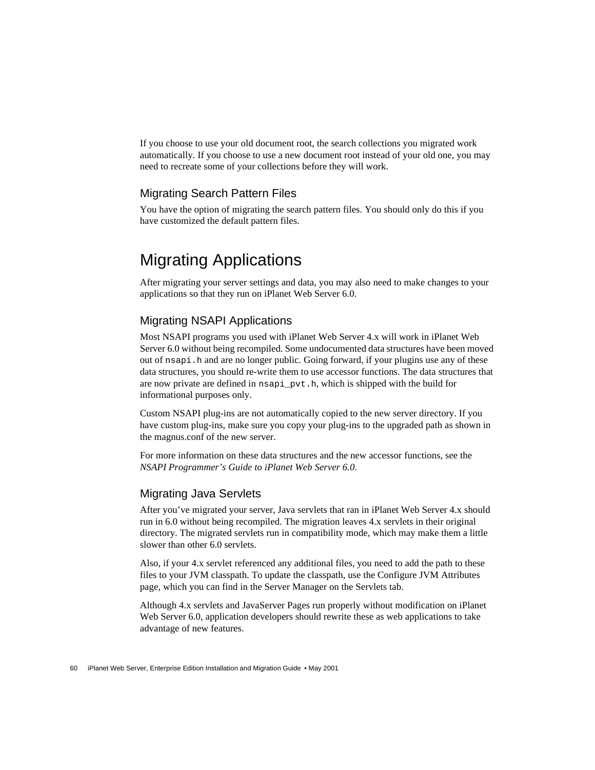<span id="page-59-0"></span>If you choose to use your old document root, the search collections you migrated work automatically. If you choose to use a new document root instead of your old one, you may need to recreate some of your collections before they will work.

### Migrating Search Pattern Files

You have the option of migrating the search pattern files. You should only do this if you have customized the default pattern files.

# Migrating Applications

After migrating your server settings and data, you may also need to make changes to your applications so that they run on iPlanet Web Server 6.0.

### Migrating NSAPI Applications

Most NSAPI programs you used with iPlanet Web Server 4.x will work in iPlanet Web Server 6.0 without being recompiled. Some undocumented data structures have been moved out of nsapi.h and are no longer public. Going forward, if your plugins use any of these data structures, you should re-write them to use accessor functions. The data structures that are now private are defined in nsapi\_pvt.h, which is shipped with the build for informational purposes only.

Custom NSAPI plug-ins are not automatically copied to the new server directory. If you have custom plug-ins, make sure you copy your plug-ins to the upgraded path as shown in the magnus.conf of the new server.

For more information on these data structures and the new accessor functions, see the *NSAPI Programmer's Guide to iPlanet Web Server 6.0*.

### Migrating Java Servlets

After you've migrated your server, Java servlets that ran in iPlanet Web Server 4.x should run in 6.0 without being recompiled. The migration leaves 4.x servlets in their original directory. The migrated servlets run in compatibility mode, which may make them a little slower than other 6.0 servlets.

Also, if your 4.x servlet referenced any additional files, you need to add the path to these files to your JVM classpath. To update the classpath, use the Configure JVM Attributes page, which you can find in the Server Manager on the Servlets tab.

Although 4.x servlets and JavaServer Pages run properly without modification on iPlanet Web Server 6.0, application developers should rewrite these as web applications to take advantage of new features.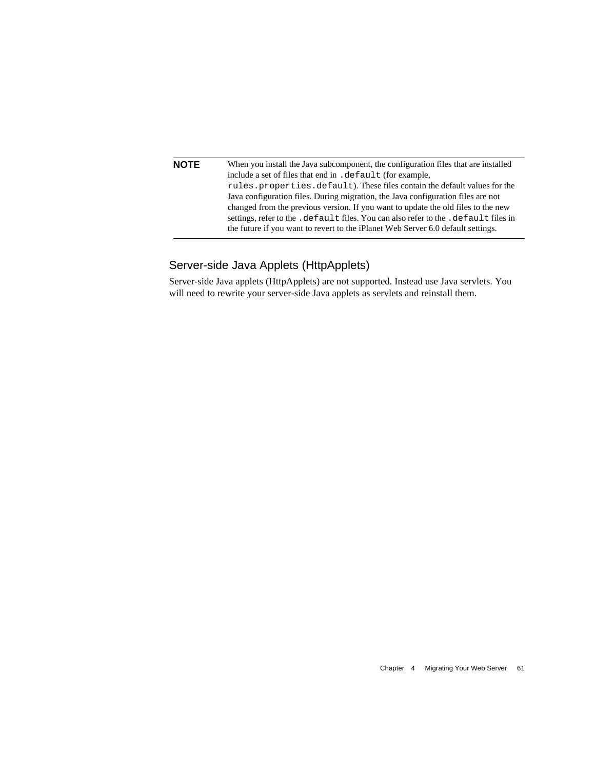<span id="page-60-0"></span>

| <b>NOTE</b> | When you install the Java subcomponent, the configuration files that are installed<br>include a set of files that end in . default (for example, |
|-------------|--------------------------------------------------------------------------------------------------------------------------------------------------|
|             | rules.properties.default). These files contain the default values for the                                                                        |
|             | Java configuration files. During migration, the Java configuration files are not                                                                 |
|             | changed from the previous version. If you want to update the old files to the new                                                                |
|             | settings, refer to the .default files. You can also refer to the .default files in                                                               |
|             | the future if you want to revert to the iPlanet Web Server 6.0 default settings.                                                                 |

### Server-side Java Applets (HttpApplets)

Server-side Java applets (HttpApplets) are not supported. Instead use Java servlets. You will need to rewrite your server-side Java applets as servlets and reinstall them.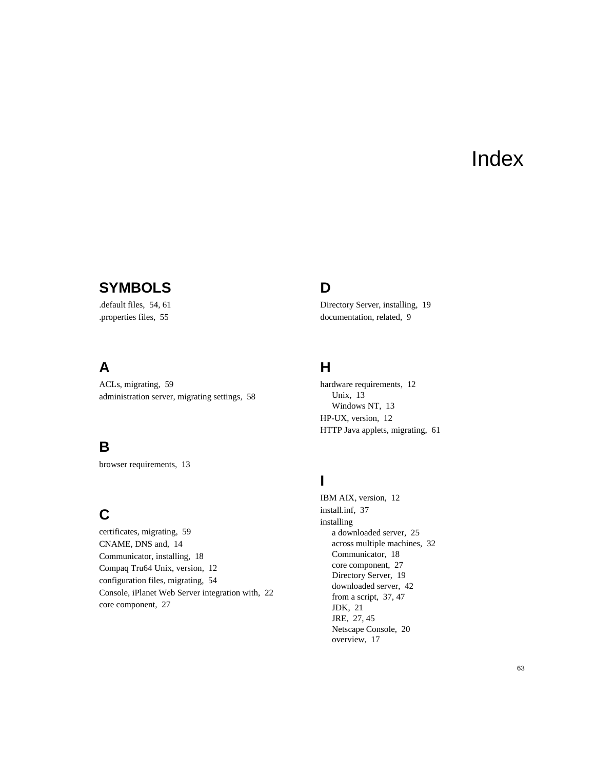# Index

## <span id="page-62-0"></span>**SYMBOLS**

[.default files, 54,](#page-53-0) [61](#page-60-0) [.properties files, 55](#page-54-0)

## **A**

[ACLs, migrating, 59](#page-58-0) [administration server, migrating settings, 58](#page-57-0)

### **B**

[browser requirements, 13](#page-12-0)

## **C**

[certificates, migrating, 59](#page-58-0) [CNAME, DNS and, 14](#page-13-0) [Communicator, installing, 18](#page-17-0) [Compaq Tru64 Unix, version, 12](#page-11-0) [configuration files, migrating, 54](#page-53-0) [Console, iPlanet Web Server integration with, 22](#page-21-0) [core component, 27](#page-26-0)

### **D**

[Directory Server, installing, 19](#page-18-0) [documentation, related, 9](#page-8-0)

### **H**

[hardware requirements, 12](#page-11-0) [Unix, 13](#page-12-0) [Windows NT, 13](#page-12-0) [HP-UX, version, 12](#page-11-0) [HTTP Java applets, migrating, 61](#page-60-0)

## **I**

[IBM AIX, version, 12](#page-11-0) [install.inf, 37](#page-36-0) installing [a downloaded server, 25](#page-24-0) [across multiple machines, 32](#page-31-0) [Communicator, 18](#page-17-0) [core component, 27](#page-26-0) [Directory Server, 19](#page-18-0) [downloaded server, 42](#page-41-0) [from a script, 37,](#page-36-0) [47](#page-46-0) [JDK, 21](#page-20-0) [JRE, 27,](#page-26-0) [45](#page-44-0) [Netscape Console, 20](#page-19-0) [overview, 17](#page-16-0)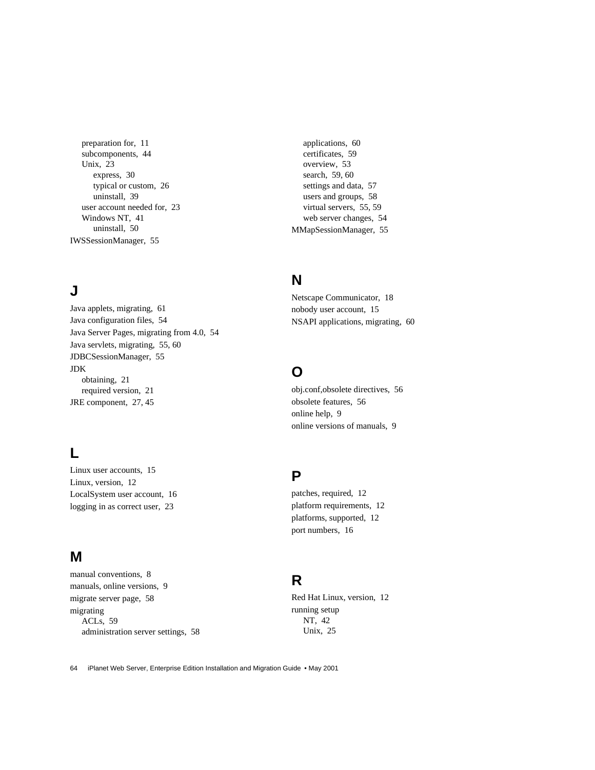[preparation for, 11](#page-10-0) [subcomponents, 44](#page-43-0) [Unix, 23](#page-22-0) [express, 30](#page-29-0) [typical or custom, 26](#page-25-0) [uninstall, 39](#page-38-0) [user account needed for, 23](#page-22-0) [Windows NT, 41](#page-40-0) [uninstall, 50](#page-49-0) [IWSSessionManager, 55](#page-54-0)

## **J**

[Java applets, migrating, 61](#page-60-0) [Java configuration files, 54](#page-53-0) [Java Server Pages, migrating from 4.0, 54](#page-53-0) [Java servlets, migrating, 55,](#page-54-0) [60](#page-59-0) [JDBCSessionManager, 55](#page-54-0) JDK [obtaining, 21](#page-20-0) [required version, 21](#page-20-0) [JRE component, 27,](#page-26-0) [45](#page-44-0)

### **L**

[Linux user accounts, 15](#page-14-0) [Linux, version, 12](#page-11-0) [LocalSystem user account, 16](#page-15-0) [logging in as correct user, 23](#page-22-0)

### **M**

[manual conventions, 8](#page-7-0) [manuals, online versions, 9](#page-8-0) [migrate server page, 58](#page-57-0) migrating [ACLs, 59](#page-58-0) [administration server settings, 58](#page-57-0)

[applications, 60](#page-59-0) [certificates, 59](#page-58-0) [overview, 53](#page-52-0) [search, 59,](#page-58-0) [60](#page-59-0) [settings and data, 57](#page-56-0) [users and groups, 58](#page-57-0) [virtual servers, 55,](#page-54-0) [59](#page-58-0) [web server changes, 54](#page-53-0) [MMapSessionManager, 55](#page-54-0)

### **N**

[Netscape Communicator, 18](#page-17-0) [nobody user account, 15](#page-14-0) [NSAPI applications, migrating, 60](#page-59-0)

## **O**

[obj.conf,obsolete directives, 56](#page-55-0) [obsolete features, 56](#page-55-0) [online help, 9](#page-8-0) [online versions of manuals, 9](#page-8-0)

### **P**

[patches, required, 12](#page-11-0) [platform requirements, 12](#page-11-0) [platforms, supported, 12](#page-11-0) [port numbers, 16](#page-15-0)

### **R**

[Red Hat Linux, version, 12](#page-11-0) running setup [NT, 42](#page-41-0) [Unix, 25](#page-24-0)